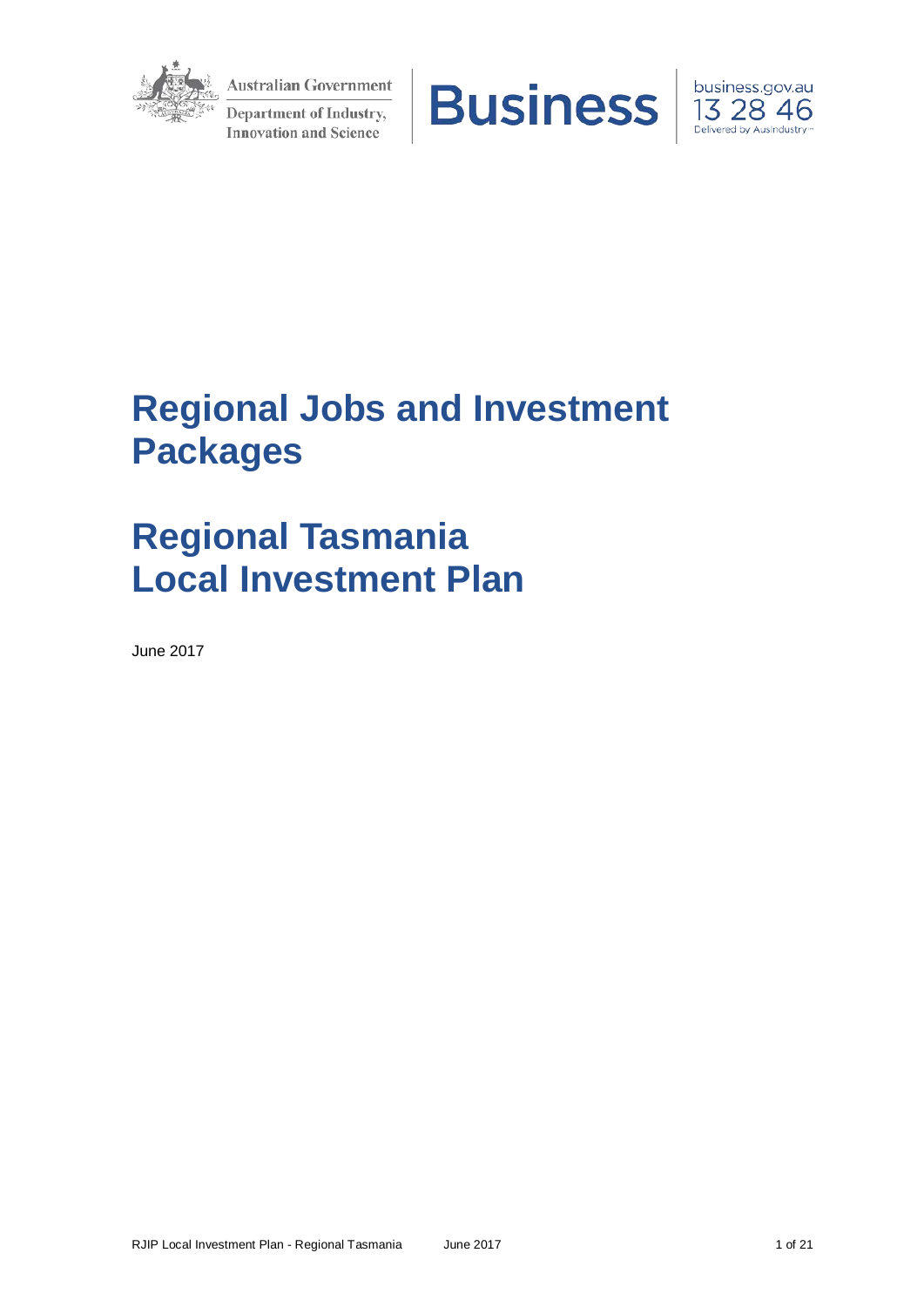

**Australian Government** Department of Industry, **Innovation and Science** 





# **Regional Jobs and Investment Packages**

# **Regional Tasmania Local Investment Plan**

June 2017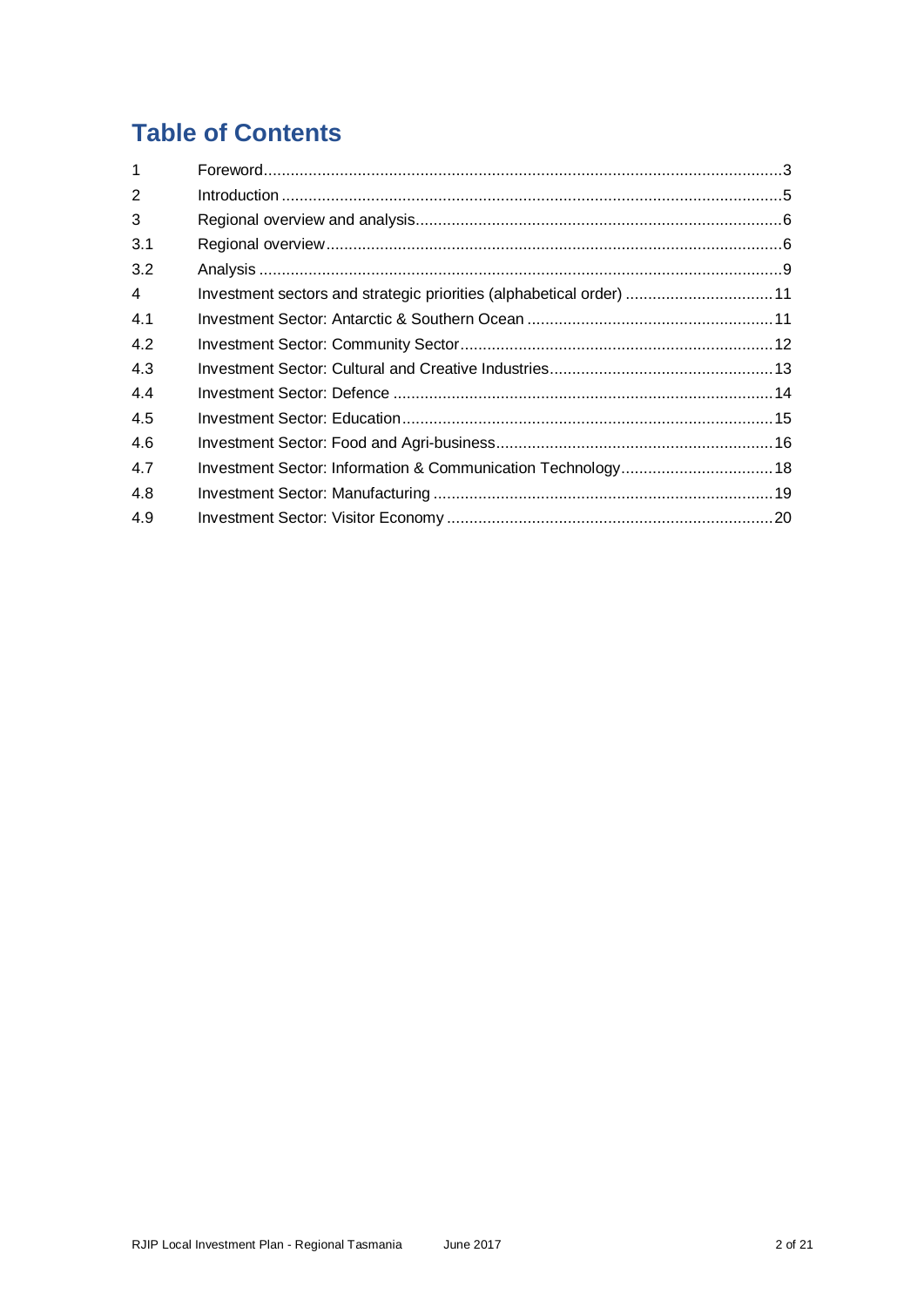## **Table of Contents**

| $\mathbf{1}$   |                                                                      |  |
|----------------|----------------------------------------------------------------------|--|
| $\overline{2}$ |                                                                      |  |
| 3              |                                                                      |  |
| 3.1            |                                                                      |  |
| 3.2            |                                                                      |  |
| $\overline{4}$ | Investment sectors and strategic priorities (alphabetical order)  11 |  |
| 4.1            |                                                                      |  |
| 4.2            |                                                                      |  |
| 4.3            |                                                                      |  |
| 4.4            |                                                                      |  |
| 4.5            |                                                                      |  |
| 4.6            |                                                                      |  |
| 4.7            |                                                                      |  |
| 4.8            |                                                                      |  |
| 4.9            |                                                                      |  |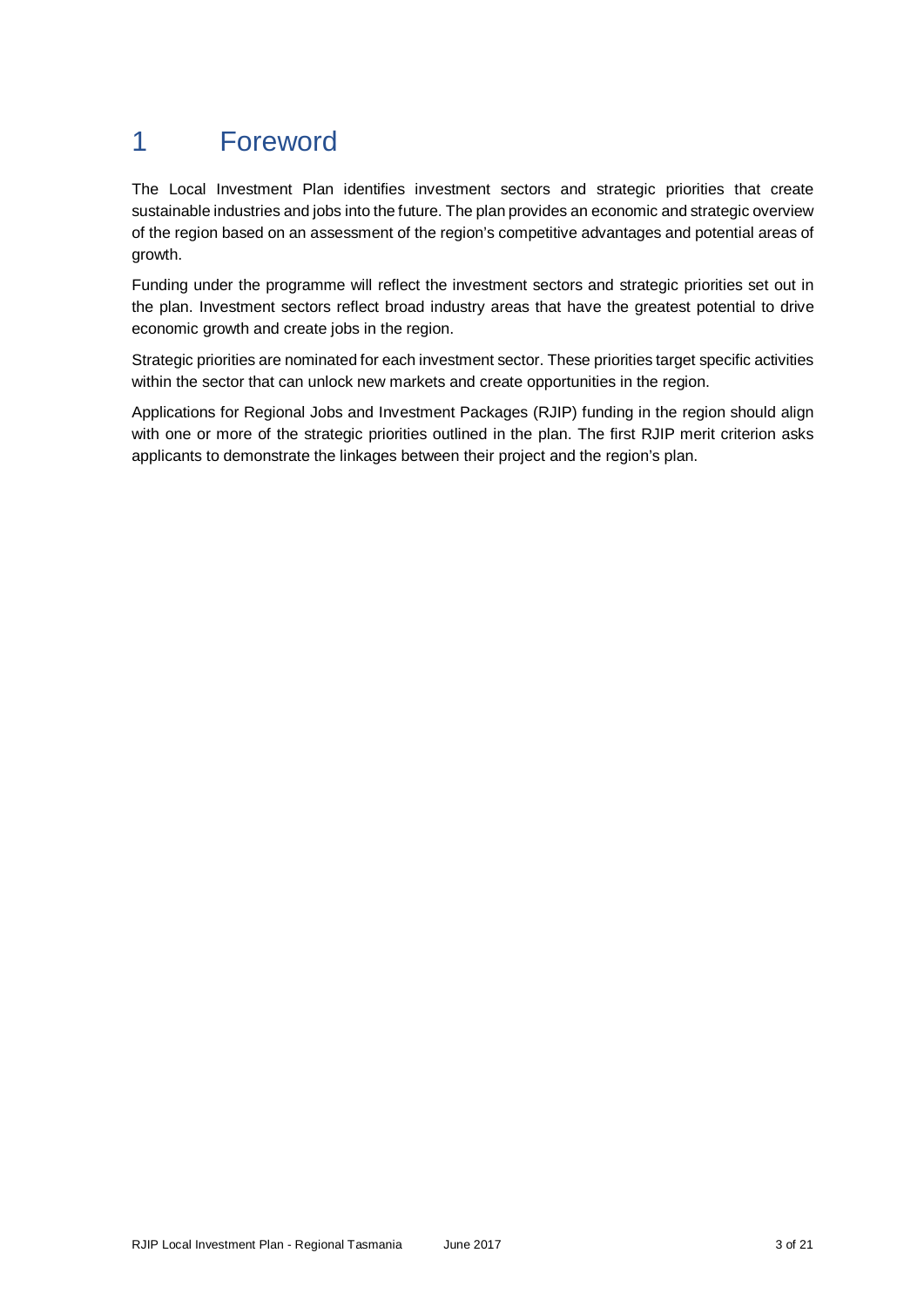## 1 Foreword

The Local Investment Plan identifies investment sectors and strategic priorities that create sustainable industries and jobs into the future. The plan provides an economic and strategic overview of the region based on an assessment of the region's competitive advantages and potential areas of growth.

Funding under the programme will reflect the investment sectors and strategic priorities set out in the plan. Investment sectors reflect broad industry areas that have the greatest potential to drive economic growth and create jobs in the region.

Strategic priorities are nominated for each investment sector. These priorities target specific activities within the sector that can unlock new markets and create opportunities in the region.

Applications for Regional Jobs and Investment Packages (RJIP) funding in the region should align with one or more of the strategic priorities outlined in the plan. The first RJIP merit criterion asks applicants to demonstrate the linkages between their project and the region's plan.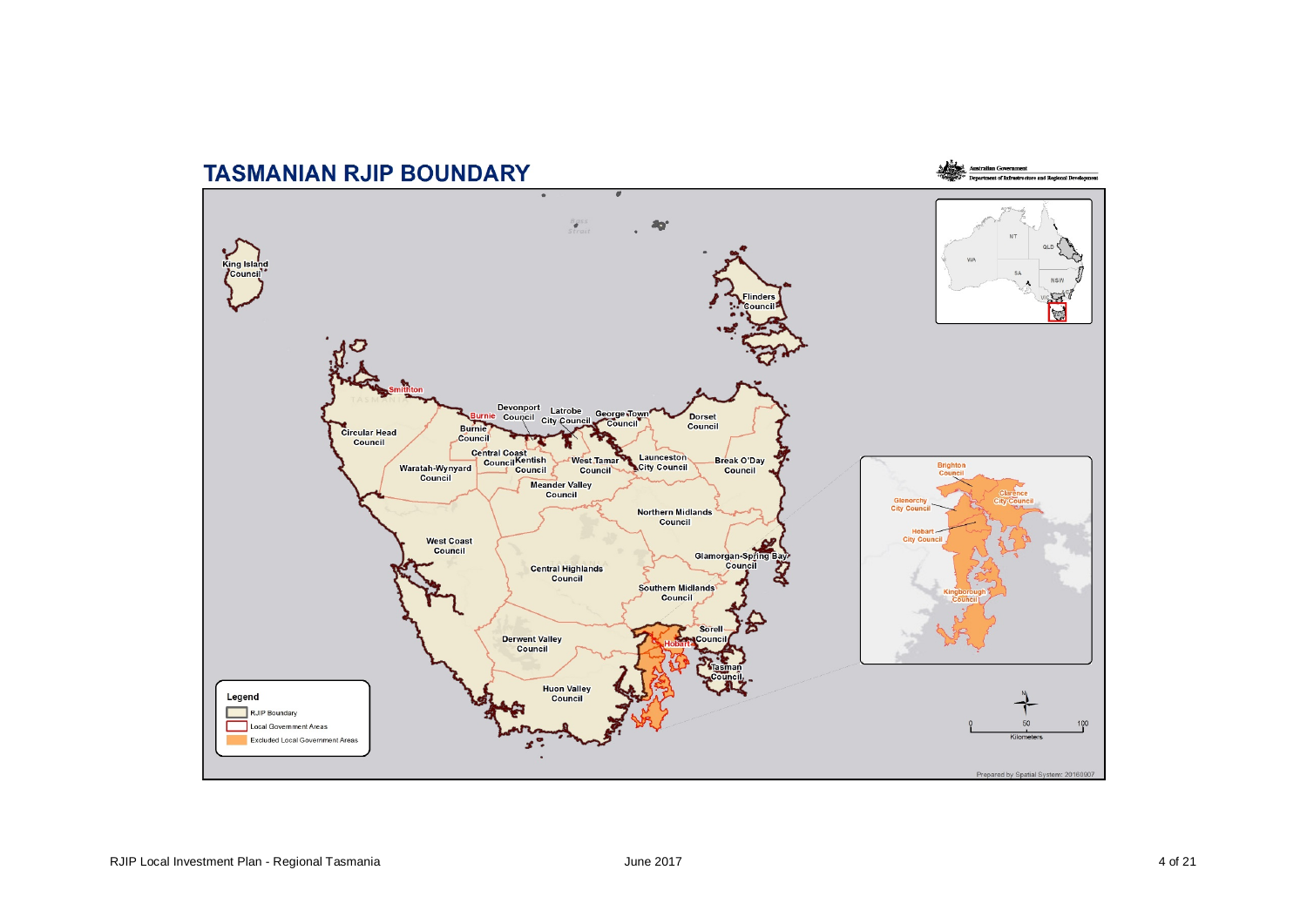## **TASMANIAN RJIP BOUNDARY**



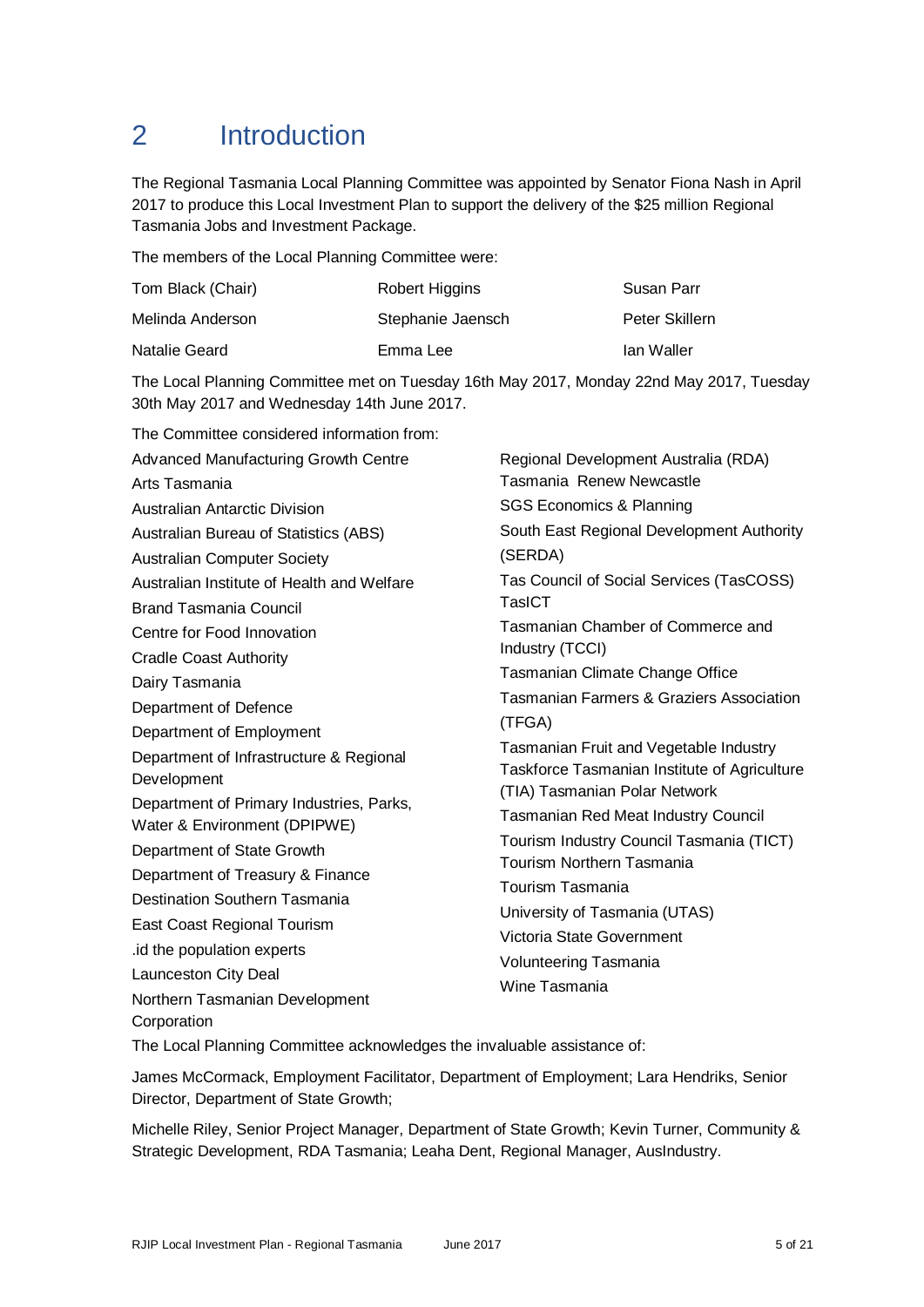## 2 Introduction

The Regional Tasmania Local Planning Committee was appointed by Senator Fiona Nash in April 2017 to produce this Local Investment Plan to support the delivery of the \$25 million Regional Tasmania Jobs and Investment Package.

The members of the Local Planning Committee were:

| Tom Black (Chair) | Robert Higgins    | Susan Parr     |
|-------------------|-------------------|----------------|
| Melinda Anderson  | Stephanie Jaensch | Peter Skillern |
| Natalie Geard     | Emma Lee          | Ian Waller     |

The Local Planning Committee met on Tuesday 16th May 2017, Monday 22nd May 2017, Tuesday 30th May 2017 and Wednesday 14th June 2017.

| The Committee considered information from: |                                                                                                                                                                                            |  |  |
|--------------------------------------------|--------------------------------------------------------------------------------------------------------------------------------------------------------------------------------------------|--|--|
| Advanced Manufacturing Growth Centre       | Regional Development Australia (RDA)<br>Tasmania Renew Newcastle                                                                                                                           |  |  |
| Arts Tasmania                              |                                                                                                                                                                                            |  |  |
| Australian Antarctic Division              | <b>SGS Economics &amp; Planning</b>                                                                                                                                                        |  |  |
| Australian Bureau of Statistics (ABS)      | South East Regional Development Authority                                                                                                                                                  |  |  |
| <b>Australian Computer Society</b>         | (SERDA)                                                                                                                                                                                    |  |  |
| Australian Institute of Health and Welfare | Tas Council of Social Services (TasCOSS)                                                                                                                                                   |  |  |
| <b>Brand Tasmania Council</b>              | <b>TasICT</b>                                                                                                                                                                              |  |  |
| Centre for Food Innovation                 | Tasmanian Chamber of Commerce and                                                                                                                                                          |  |  |
| <b>Cradle Coast Authority</b>              | Industry (TCCI)                                                                                                                                                                            |  |  |
| Dairy Tasmania                             | Tasmanian Climate Change Office<br><b>Tasmanian Farmers &amp; Graziers Association</b><br>(TFGA)<br>Tasmanian Fruit and Vegetable Industry<br>Taskforce Tasmanian Institute of Agriculture |  |  |
| Department of Defence                      |                                                                                                                                                                                            |  |  |
| Department of Employment                   |                                                                                                                                                                                            |  |  |
| Department of Infrastructure & Regional    |                                                                                                                                                                                            |  |  |
| Development                                |                                                                                                                                                                                            |  |  |
| Department of Primary Industries, Parks,   | (TIA) Tasmanian Polar Network                                                                                                                                                              |  |  |
| Water & Environment (DPIPWE)               | <b>Tasmanian Red Meat Industry Council</b>                                                                                                                                                 |  |  |
| Department of State Growth                 | Tourism Industry Council Tasmania (TICT)<br><b>Tourism Northern Tasmania</b>                                                                                                               |  |  |
| Department of Treasury & Finance           | Tourism Tasmania<br>University of Tasmania (UTAS)<br>Victoria State Government<br><b>Volunteering Tasmania</b><br>Wine Tasmania                                                            |  |  |
| <b>Destination Southern Tasmania</b>       |                                                                                                                                                                                            |  |  |
| East Coast Regional Tourism                |                                                                                                                                                                                            |  |  |
| .id the population experts                 |                                                                                                                                                                                            |  |  |
| Launceston City Deal                       |                                                                                                                                                                                            |  |  |
| Northern Tasmanian Development             |                                                                                                                                                                                            |  |  |
| Corporation                                |                                                                                                                                                                                            |  |  |

The Local Planning Committee acknowledges the invaluable assistance of:

James McCormack, Employment Facilitator, Department of Employment; Lara Hendriks, Senior Director, Department of State Growth;

Michelle Riley, Senior Project Manager, Department of State Growth; Kevin Turner, Community & Strategic Development, RDA Tasmania; Leaha Dent, Regional Manager, AusIndustry.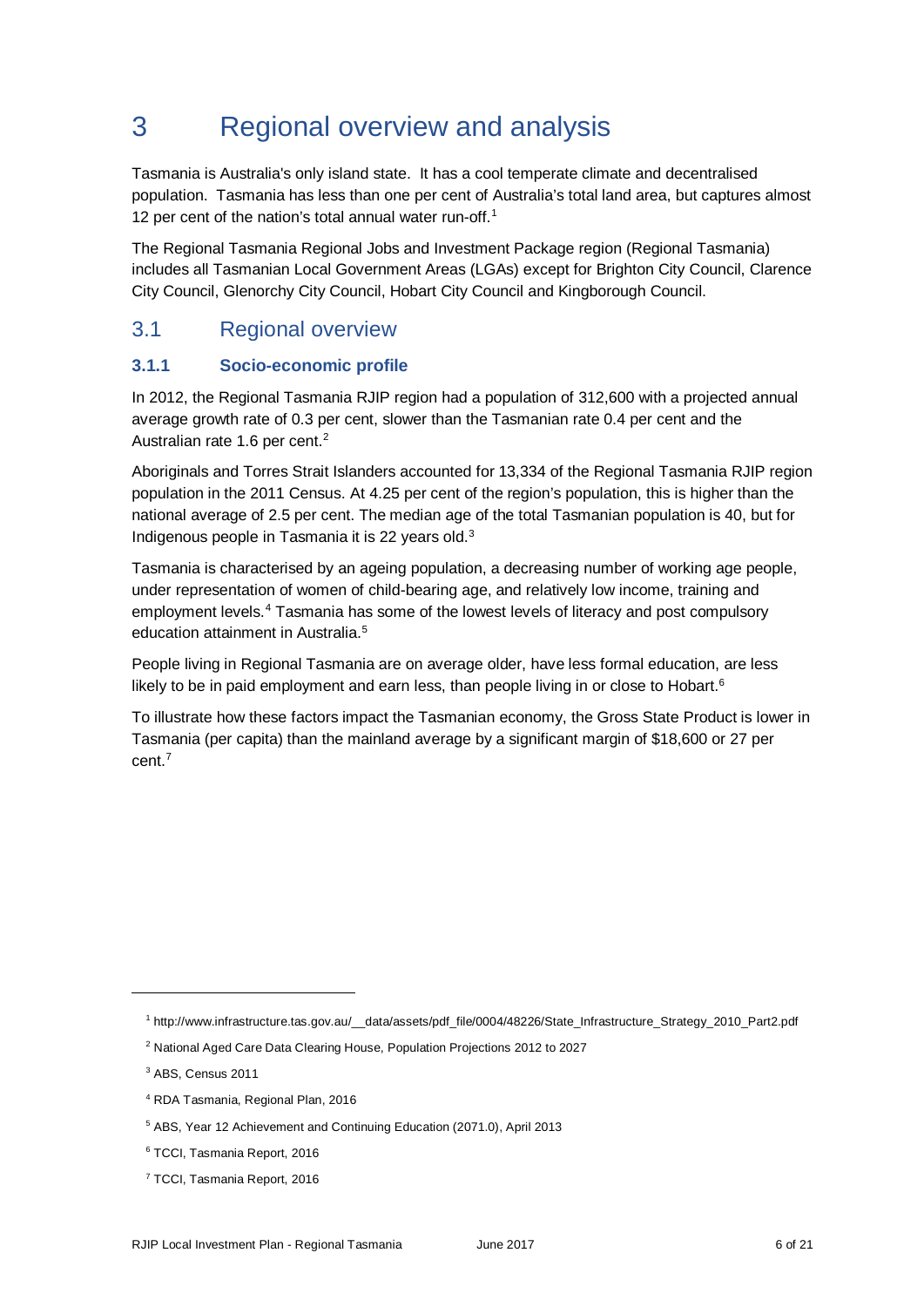## 3 Regional overview and analysis

Tasmania is Australia's only island state. It has a cool temperate climate and decentralised population. Tasmania has less than one per cent of Australia's total land area, but captures almost [1](#page-5-0)2 per cent of the nation's total annual water run-off.<sup>1</sup>

The Regional Tasmania Regional Jobs and Investment Package region (Regional Tasmania) includes all Tasmanian Local Government Areas (LGAs) except for Brighton City Council, Clarence City Council, Glenorchy City Council, Hobart City Council and Kingborough Council.

### 3.1 Regional overview

#### **3.1.1 Socio-economic profile**

In 2012, the Regional Tasmania RJIP region had a population of 312,600 with a projected annual average growth rate of 0.3 per cent, slower than the Tasmanian rate 0.4 per cent and the Australian rate 1.6 per cent.<sup>2</sup>

Aboriginals and Torres Strait Islanders accounted for 13,334 of the Regional Tasmania RJIP region population in the 2011 Census. At 4.25 per cent of the region's population, this is higher than the national average of 2.5 per cent. The median age of the total Tasmanian population is 40, but for Indigenous people in Tasmania it is 22 years old.[3](#page-5-2)

Tasmania is characterised by an ageing population, a decreasing number of working age people, under representation of women of child-bearing age, and relatively low income, training and employment levels.[4](#page-5-3) Tasmania has some of the lowest levels of literacy and post compulsory education attainment in Australia.<sup>5</sup>

People living in Regional Tasmania are on average older, have less formal education, are less likely to be in paid employment and earn less, than people living in or close to Hobart. $6$ 

To illustrate how these factors impact the Tasmanian economy, the Gross State Product is lower in Tasmania (per capita) than the mainland average by a significant margin of \$18,600 or 27 per cent.[7](#page-5-6)

<span id="page-5-0"></span><sup>1</sup> http://www.infrastructure.tas.gov.au/\_\_data/assets/pdf\_file/0004/48226/State\_Infrastructure\_Strategy\_2010\_Part2.pdf

<span id="page-5-1"></span><sup>2</sup> National Aged Care Data Clearing House, Population Projections 2012 to 2027

<span id="page-5-2"></span><sup>3</sup> ABS, Census 2011

<span id="page-5-3"></span><sup>4</sup> RDA Tasmania, Regional Plan, 2016

<span id="page-5-4"></span><sup>5</sup> ABS, Year 12 Achievement and Continuing Education (2071.0), April 2013

<span id="page-5-5"></span><sup>6</sup> TCCI, Tasmania Report, 2016

<span id="page-5-6"></span><sup>7</sup> TCCI, Tasmania Report, 2016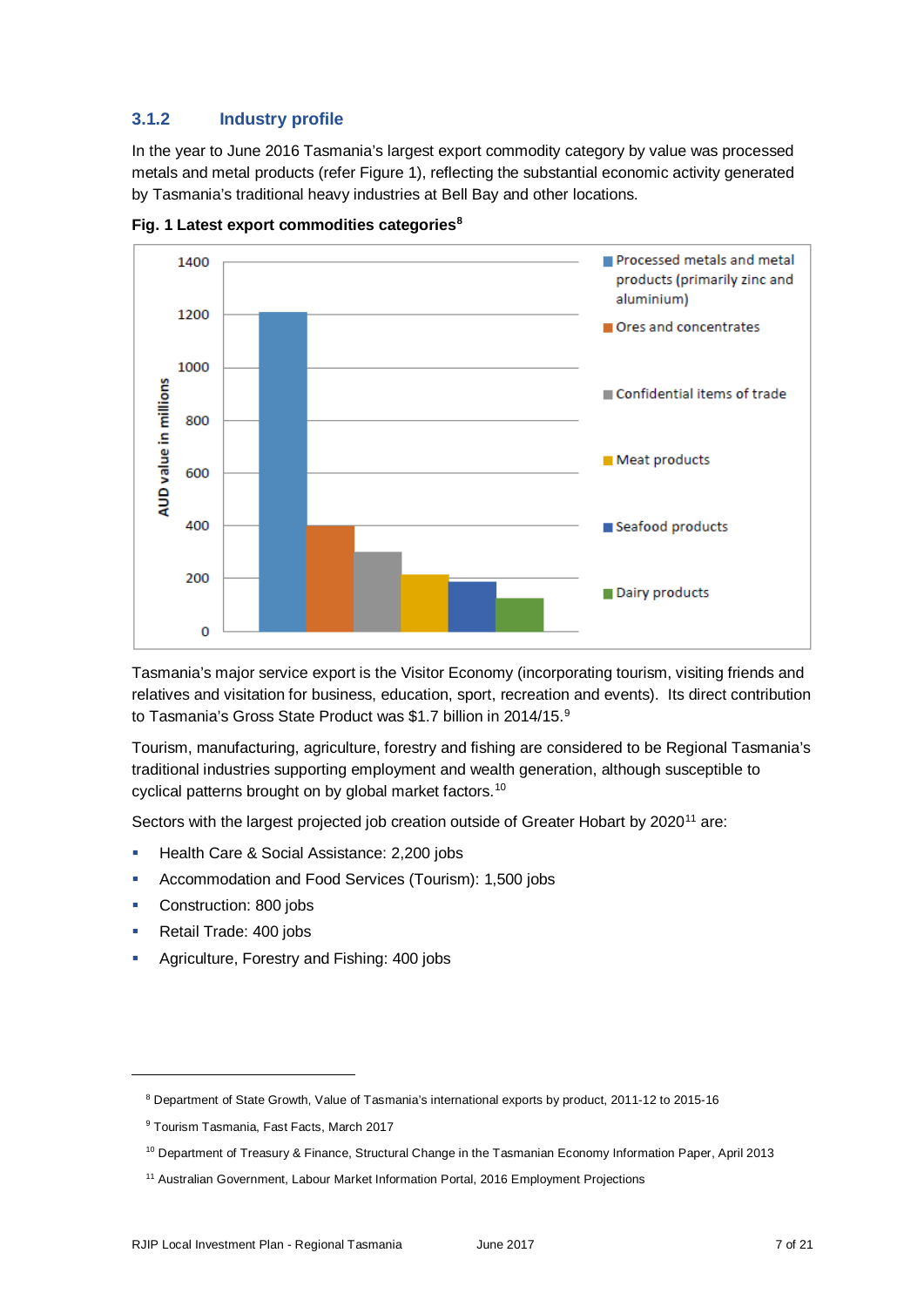#### **3.1.2 Industry profile**

In the year to June 2016 Tasmania's largest export commodity category by value was processed metals and metal products (refer Figure 1), reflecting the substantial economic activity generated by Tasmania's traditional heavy industries at Bell Bay and other locations.



**Fig. 1 Latest export commodities categories**<sup>8</sup>

Tasmania's major service export is the Visitor Economy (incorporating tourism, visiting friends and relatives and visitation for business, education, sport, recreation and events). Its direct contribution to Tasmania's Gross State Product was \$1.7 billion in 2014/15.<sup>[9](#page-6-1)</sup>

Tourism, manufacturing, agriculture, forestry and fishing are considered to be Regional Tasmania's traditional industries supporting employment and wealth generation, although susceptible to cyclical patterns brought on by global market factors.<sup>[10](#page-6-2)</sup>

Sectors with the largest projected job creation outside of Greater Hobart by 2020<sup>[11](#page-6-3)</sup> are:

- **Health Care & Social Assistance: 2,200 jobs**
- Accommodation and Food Services (Tourism): 1,500 jobs
- Construction: 800 jobs
- Retail Trade: 400 jobs

<span id="page-6-1"></span><span id="page-6-0"></span>-

**Agriculture, Forestry and Fishing: 400 jobs** 

<sup>8</sup> Department of State Growth, Value of Tasmania's international exports by product, 2011-12 to 2015-16

<sup>&</sup>lt;sup>9</sup> Tourism Tasmania, Fast Facts, March 2017

<span id="page-6-2"></span><sup>10</sup> Department of Treasury & Finance, Structural Change in the Tasmanian Economy Information Paper, April 2013

<span id="page-6-3"></span><sup>&</sup>lt;sup>11</sup> Australian Government, Labour Market Information Portal, 2016 Employment Projections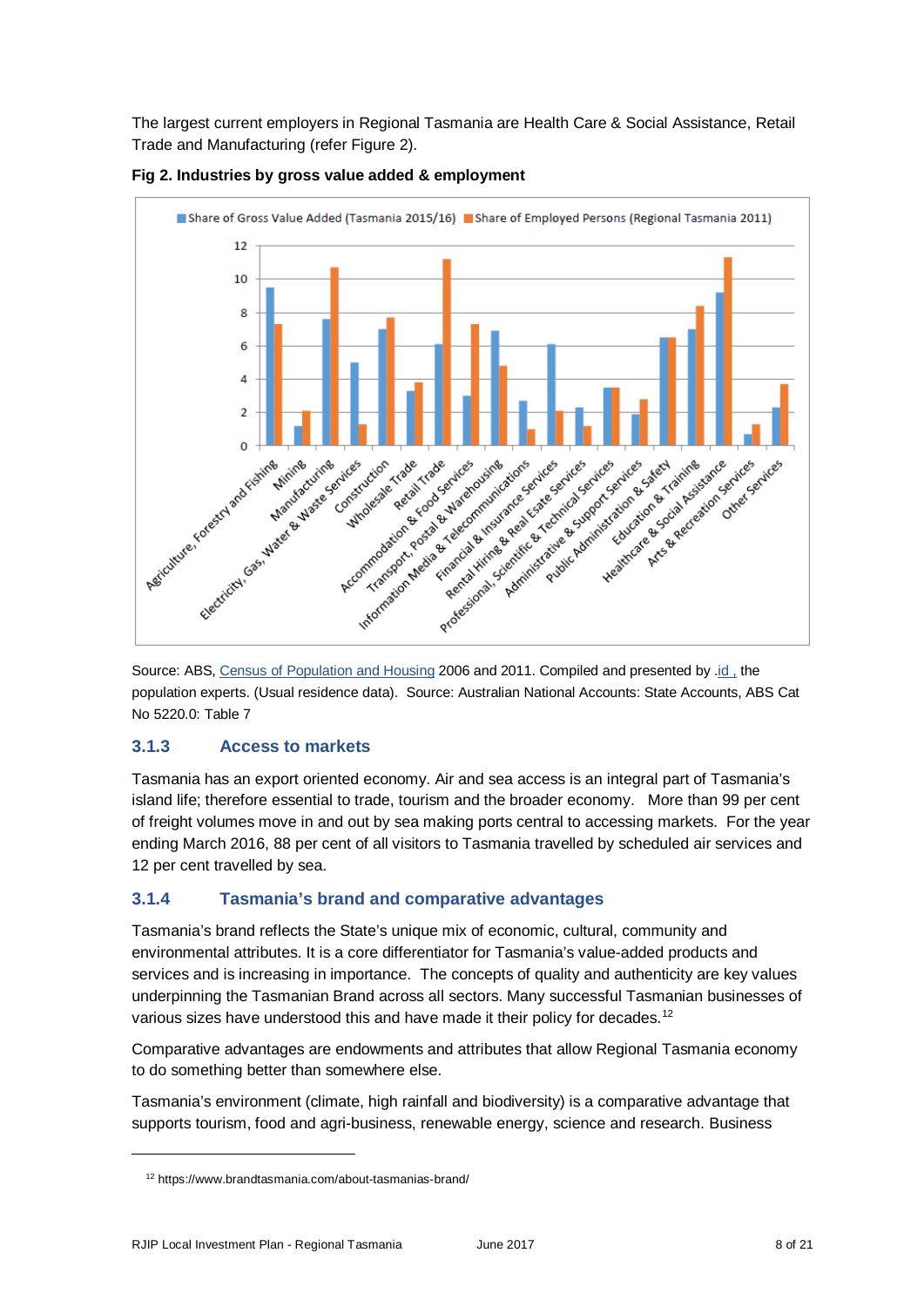The largest current employers in Regional Tasmania are Health Care & Social Assistance, Retail Trade and Manufacturing (refer Figure 2).



![](_page_7_Figure_2.jpeg)

Source: ABS[, Census of Population and Housing](http://www.abs.gov.au/census) 2006 and 2011. Compiled and presented by [.id ,](http://home.id.com.au/about-us/) the population experts. (Usual residence data). Source: Australian National Accounts: State Accounts, ABS Cat No 5220.0: Table 7

#### **3.1.3 Access to markets**

Tasmania has an export oriented economy. Air and sea access is an integral part of Tasmania's island life; therefore essential to trade, tourism and the broader economy. More than 99 per cent of freight volumes move in and out by sea making ports central to accessing markets. For the year ending March 2016, 88 per cent of all visitors to Tasmania travelled by scheduled air services and 12 per cent travelled by sea.

#### **3.1.4 Tasmania's brand and comparative advantages**

Tasmania's brand reflects the State's unique mix of economic, cultural, community and environmental attributes. It is a core differentiator for Tasmania's value-added products and services and is increasing in importance. The concepts of quality and authenticity are key values underpinning the Tasmanian Brand across all sectors. Many successful Tasmanian businesses of various sizes have understood this and have made it their policy for decades.<sup>[12](#page-7-0)</sup>

Comparative advantages are endowments and attributes that allow Regional Tasmania economy to do something better than somewhere else.

Tasmania's environment (climate, high rainfall and biodiversity) is a comparative advantage that supports tourism, food and agri-business, renewable energy, science and research. Business

<span id="page-7-0"></span><sup>12</sup> https://www.brandtasmania.com/about-tasmanias-brand/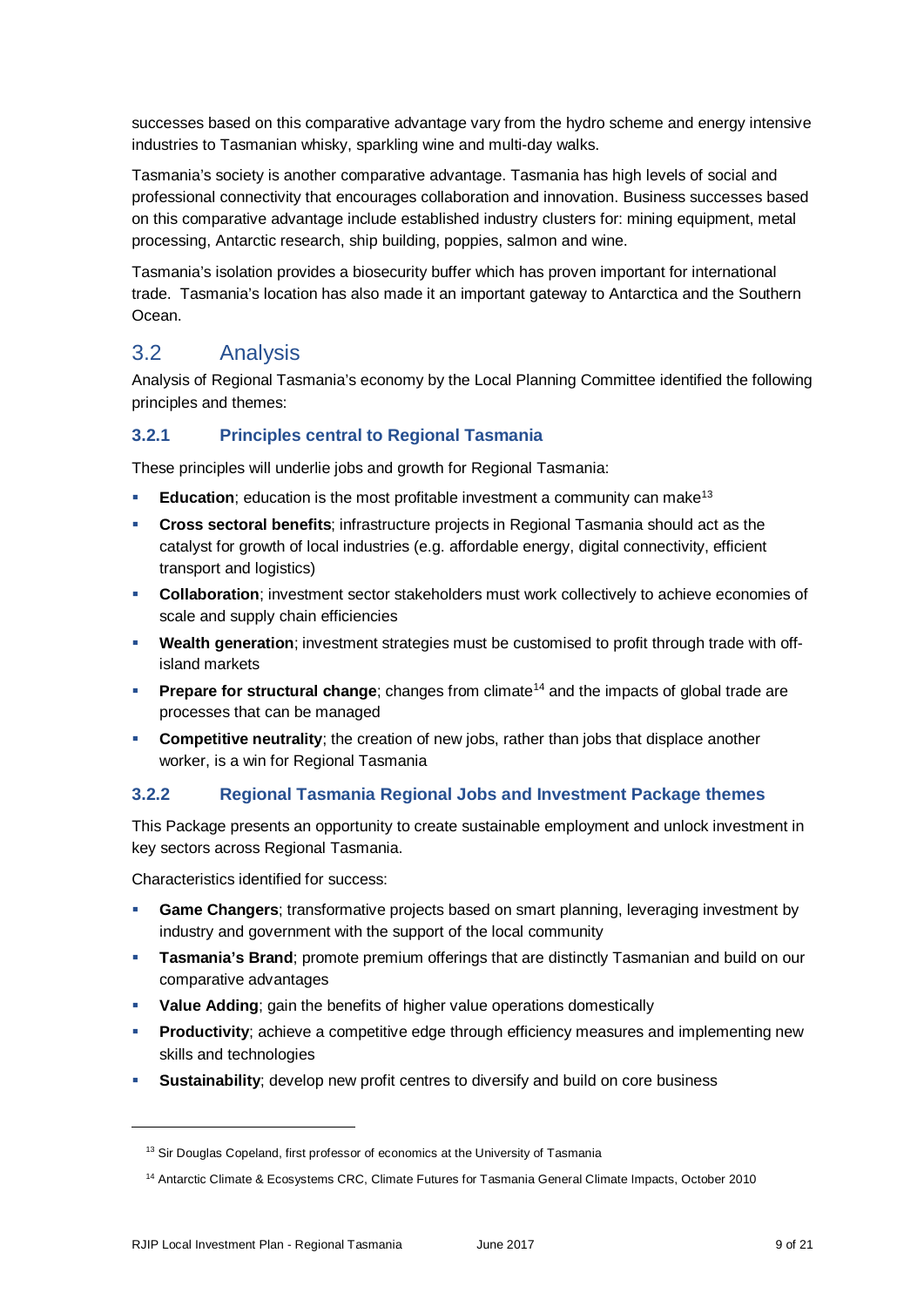successes based on this comparative advantage vary from the hydro scheme and energy intensive industries to Tasmanian whisky, sparkling wine and multi-day walks.

Tasmania's society is another comparative advantage. Tasmania has high levels of social and professional connectivity that encourages collaboration and innovation. Business successes based on this comparative advantage include established industry clusters for: mining equipment, metal processing, Antarctic research, ship building, poppies, salmon and wine.

Tasmania's isolation provides a biosecurity buffer which has proven important for international trade. Tasmania's location has also made it an important gateway to Antarctica and the Southern Ocean.

### 3.2 Analysis

Analysis of Regional Tasmania's economy by the Local Planning Committee identified the following principles and themes:

#### **3.2.1 Principles central to Regional Tasmania**

These principles will underlie jobs and growth for Regional Tasmania:

- **Education**: education is the most profitable investment a community can make<sup>13</sup>
- **Cross sectoral benefits**; infrastructure projects in Regional Tasmania should act as the catalyst for growth of local industries (e.g. affordable energy, digital connectivity, efficient transport and logistics)
- **Collaboration**; investment sector stakeholders must work collectively to achieve economies of scale and supply chain efficiencies
- **Wealth generation**; investment strategies must be customised to profit through trade with offisland markets
- **Prepare for structural change**; changes from climate<sup>[14](#page-8-1)</sup> and the impacts of global trade are processes that can be managed
- **Competitive neutrality**; the creation of new jobs, rather than jobs that displace another worker, is a win for Regional Tasmania

#### **3.2.2 Regional Tasmania Regional Jobs and Investment Package themes**

This Package presents an opportunity to create sustainable employment and unlock investment in key sectors across Regional Tasmania.

Characteristics identified for success:

- **Game Changers**; transformative projects based on smart planning, leveraging investment by industry and government with the support of the local community
- **Tasmania's Brand**; promote premium offerings that are distinctly Tasmanian and build on our comparative advantages
- **Value Adding**; gain the benefits of higher value operations domestically
- **Productivity**; achieve a competitive edge through efficiency measures and implementing new skills and technologies
- **Sustainability**; develop new profit centres to diversify and build on core business

<span id="page-8-0"></span><sup>&</sup>lt;sup>13</sup> Sir Douglas Copeland, first professor of economics at the University of Tasmania

<span id="page-8-1"></span><sup>14</sup> Antarctic Climate & Ecosystems CRC, Climate Futures for Tasmania General Climate Impacts, October 2010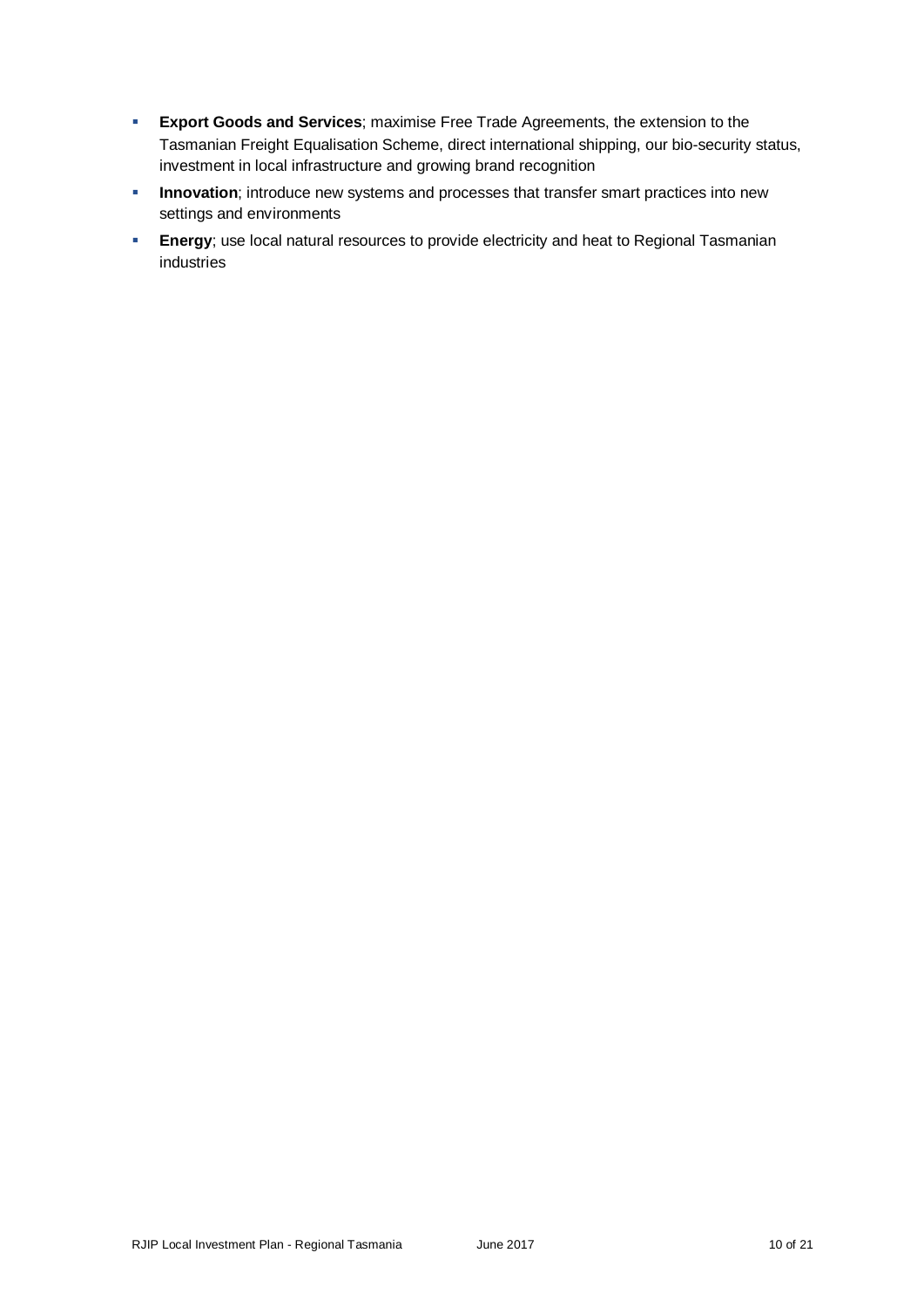- **Export Goods and Services**; maximise Free Trade Agreements, the extension to the Tasmanian Freight Equalisation Scheme, direct international shipping, our bio-security status, investment in local infrastructure and growing brand recognition
- **Innovation**; introduce new systems and processes that transfer smart practices into new settings and environments
- **Energy**; use local natural resources to provide electricity and heat to Regional Tasmanian industries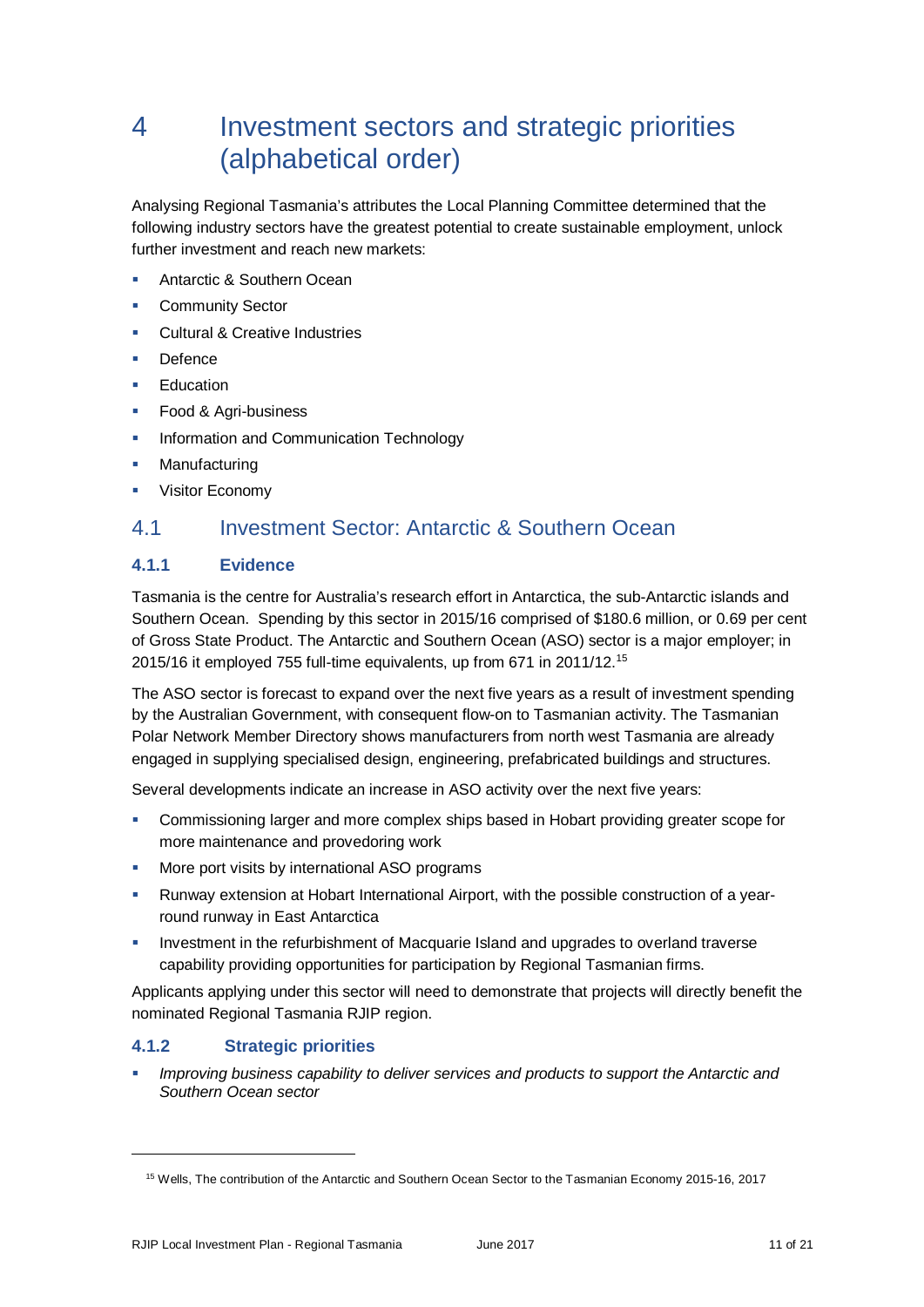## 4 Investment sectors and strategic priorities (alphabetical order)

Analysing Regional Tasmania's attributes the Local Planning Committee determined that the following industry sectors have the greatest potential to create sustainable employment, unlock further investment and reach new markets:

- Antarctic & Southern Ocean
- **E** Community Sector
- **Cultural & Creative Industries**
- Defence
- **Education**
- **Food & Agri-business**
- **Information and Communication Technology**
- **Manufacturing**
- **•** Visitor Economy

### 4.1 Investment Sector: Antarctic & Southern Ocean

#### **4.1.1 Evidence**

Tasmania is the centre for Australia's research effort in Antarctica, the sub-Antarctic islands and Southern Ocean. Spending by this sector in 2015/16 comprised of \$180.6 million, or 0.69 per cent of Gross State Product. The Antarctic and Southern Ocean (ASO) sector is a major employer; in 2015/16 it employed 755 full-time equivalents, up from 671 in 2011/12.[15](#page-10-0)

The ASO sector is forecast to expand over the next five years as a result of investment spending by the Australian Government, with consequent flow-on to Tasmanian activity. The Tasmanian Polar Network Member Directory shows manufacturers from north west Tasmania are already engaged in supplying specialised design, engineering, prefabricated buildings and structures.

Several developments indicate an increase in ASO activity over the next five years:

- Commissioning larger and more complex ships based in Hobart providing greater scope for more maintenance and provedoring work
- **More port visits by international ASO programs**
- Runway extension at Hobart International Airport, with the possible construction of a yearround runway in East Antarctica
- Investment in the refurbishment of Macquarie Island and upgrades to overland traverse capability providing opportunities for participation by Regional Tasmanian firms.

Applicants applying under this sector will need to demonstrate that projects will directly benefit the nominated Regional Tasmania RJIP region.

#### **4.1.2 Strategic priorities**

<span id="page-10-0"></span>-

*Improving business capability to deliver services and products to support the Antarctic and Southern Ocean sector*

<sup>15</sup> Wells, The contribution of the Antarctic and Southern Ocean Sector to the Tasmanian Economy 2015-16, 2017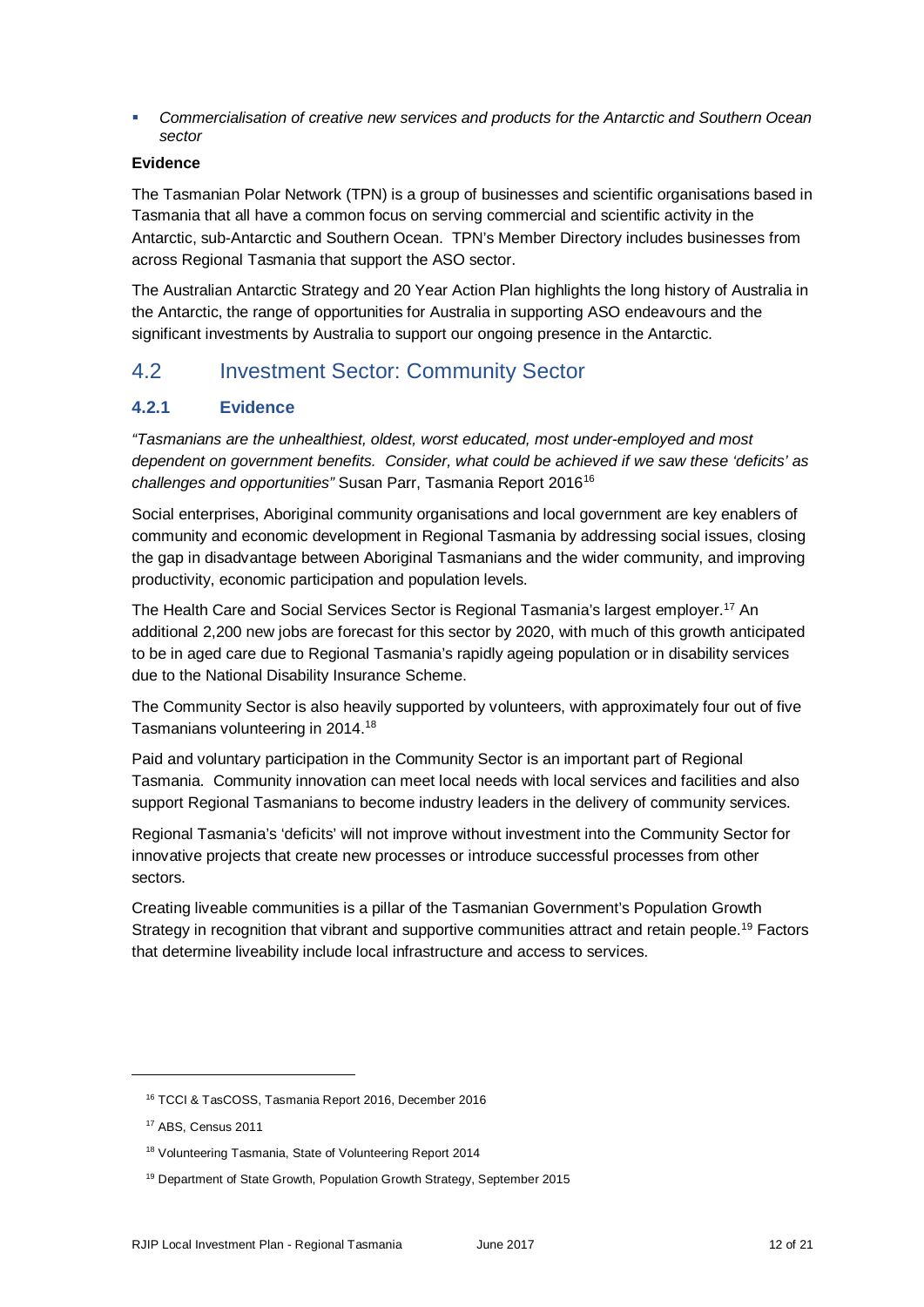*Commercialisation of creative new services and products for the Antarctic and Southern Ocean sector*

#### **Evidence**

The Tasmanian Polar Network (TPN) is a group of businesses and scientific organisations based in Tasmania that all have a common focus on serving commercial and scientific activity in the Antarctic, sub-Antarctic and Southern Ocean. TPN's Member Directory includes businesses from across Regional Tasmania that support the ASO sector.

The Australian Antarctic Strategy and 20 Year Action Plan highlights the long history of Australia in the Antarctic, the range of opportunities for Australia in supporting ASO endeavours and the significant investments by Australia to support our ongoing presence in the Antarctic.

## 4.2 Investment Sector: Community Sector

#### **4.2.1 Evidence**

*"Tasmanians are the unhealthiest, oldest, worst educated, most under-employed and most dependent on government benefits. Consider, what could be achieved if we saw these 'deficits' as challenges and opportunities"* Susan Parr, Tasmania Report 2016[16](#page-11-0)

Social enterprises, Aboriginal community organisations and local government are key enablers of community and economic development in Regional Tasmania by addressing social issues, closing the gap in disadvantage between Aboriginal Tasmanians and the wider community, and improving productivity, economic participation and population levels.

The Health Care and Social Services Sector is Regional Tasmania's largest employer.[17](#page-11-1) An additional 2,200 new jobs are forecast for this sector by 2020, with much of this growth anticipated to be in aged care due to Regional Tasmania's rapidly ageing population or in disability services due to the National Disability Insurance Scheme.

The Community Sector is also heavily supported by volunteers, with approximately four out of five Tasmanians volunteering in 2014[.18](#page-11-2)

Paid and voluntary participation in the Community Sector is an important part of Regional Tasmania. Community innovation can meet local needs with local services and facilities and also support Regional Tasmanians to become industry leaders in the delivery of community services.

Regional Tasmania's 'deficits' will not improve without investment into the Community Sector for innovative projects that create new processes or introduce successful processes from other sectors.

Creating liveable communities is a pillar of the Tasmanian Government's Population Growth Strategy in recognition that vibrant and supportive communities attract and retain people.<sup>[19](#page-11-3)</sup> Factors that determine liveability include local infrastructure and access to services.

<span id="page-11-0"></span><sup>16</sup> TCCI & TasCOSS, Tasmania Report 2016, December 2016

<span id="page-11-1"></span><sup>17</sup> ABS, Census 2011

<span id="page-11-2"></span><sup>18</sup> Volunteering Tasmania, State of Volunteering Report 2014

<span id="page-11-3"></span><sup>19</sup> Department of State Growth, Population Growth Strategy, September 2015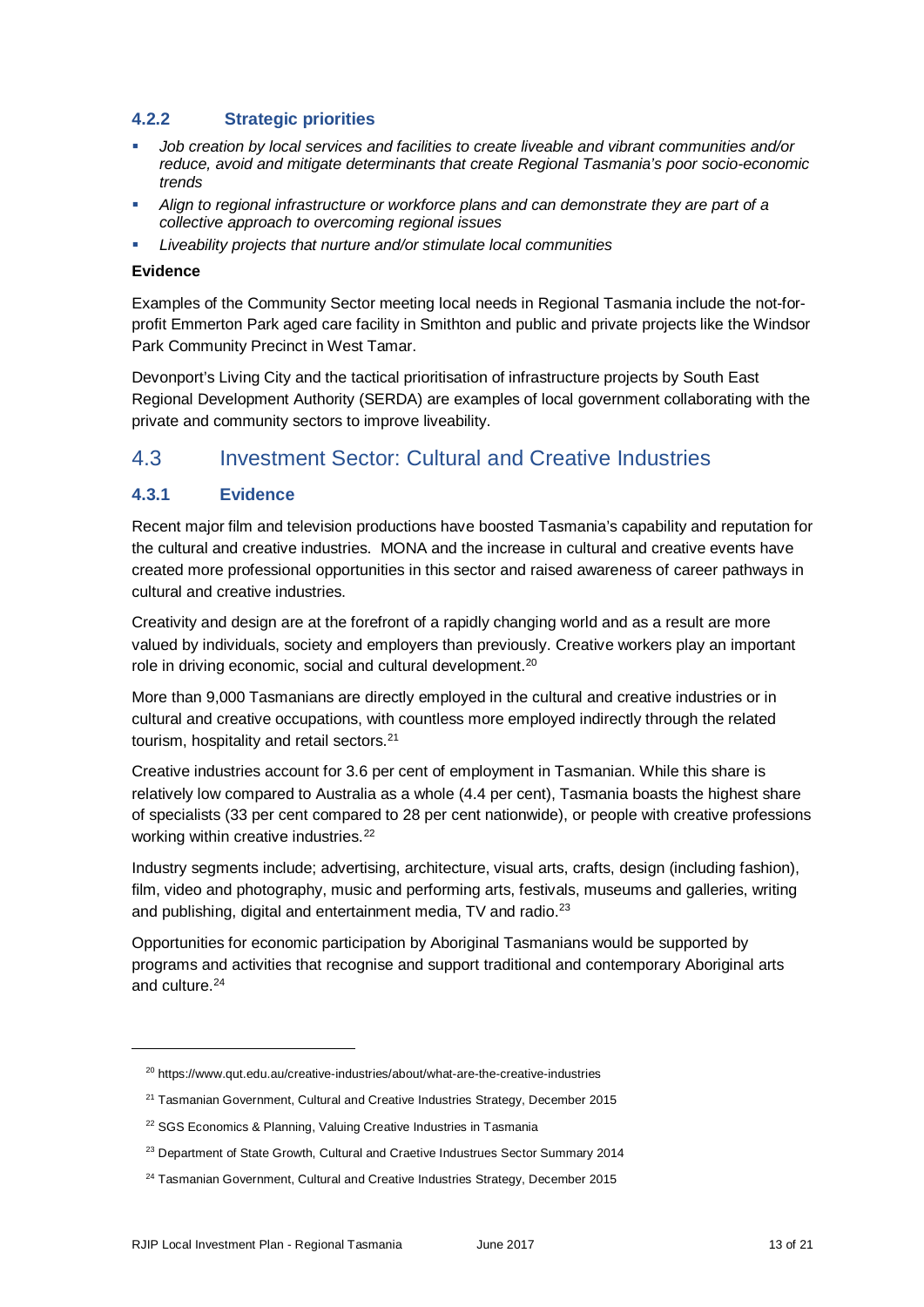#### **4.2.2 Strategic priorities**

- *Job creation by local services and facilities to create liveable and vibrant communities and/or reduce, avoid and mitigate determinants that create Regional Tasmania's poor socio-economic trends*
- *Align to regional infrastructure or workforce plans and can demonstrate they are part of a collective approach to overcoming regional issues*
- *Liveability projects that nurture and/or stimulate local communities*

#### **Evidence**

Examples of the Community Sector meeting local needs in Regional Tasmania include the not-forprofit Emmerton Park aged care facility in Smithton and public and private projects like the Windsor Park Community Precinct in West Tamar.

Devonport's Living City and the tactical prioritisation of infrastructure projects by South East Regional Development Authority (SERDA) are examples of local government collaborating with the private and community sectors to improve liveability.

## 4.3 Investment Sector: Cultural and Creative Industries

#### **4.3.1 Evidence**

Recent major film and television productions have boosted Tasmania's capability and reputation for the cultural and creative industries. MONA and the increase in cultural and creative events have created more professional opportunities in this sector and raised awareness of career pathways in cultural and creative industries.

Creativity and design are at the forefront of a rapidly changing world and as a result are more valued by individuals, society and employers than previously. Creative workers play an important role in driving economic, social and cultural development.<sup>[20](#page-12-0)</sup>

More than 9,000 Tasmanians are directly employed in the cultural and creative industries or in cultural and creative occupations, with countless more employed indirectly through the related tourism, hospitality and retail sectors.<sup>[21](#page-12-1)</sup>

Creative industries account for 3.6 per cent of employment in Tasmanian. While this share is relatively low compared to Australia as a whole (4.4 per cent), Tasmania boasts the highest share of specialists (33 per cent compared to 28 per cent nationwide), or people with creative professions working within creative industries.<sup>[22](#page-12-2)</sup>

Industry segments include; advertising, architecture, visual arts, crafts, design (including fashion), film, video and photography, music and performing arts, festivals, museums and galleries, writing and publishing, digital and entertainment media, TV and radio.<sup>23</sup>

Opportunities for economic participation by Aboriginal Tasmanians would be supported by programs and activities that recognise and support traditional and contemporary Aboriginal arts and culture.<sup>[24](#page-12-4)</sup>

<span id="page-12-0"></span><sup>&</sup>lt;sup>20</sup> https://www.qut.edu.au/creative-industries/about/what-are-the-creative-industries

<span id="page-12-1"></span><sup>&</sup>lt;sup>21</sup> Tasmanian Government, Cultural and Creative Industries Strategy, December 2015

<span id="page-12-2"></span><sup>&</sup>lt;sup>22</sup> SGS Economics & Planning, Valuing Creative Industries in Tasmania

<span id="page-12-3"></span><sup>&</sup>lt;sup>23</sup> Department of State Growth, Cultural and Craetive Industrues Sector Summary 2014

<span id="page-12-4"></span><sup>&</sup>lt;sup>24</sup> Tasmanian Government, Cultural and Creative Industries Strategy, December 2015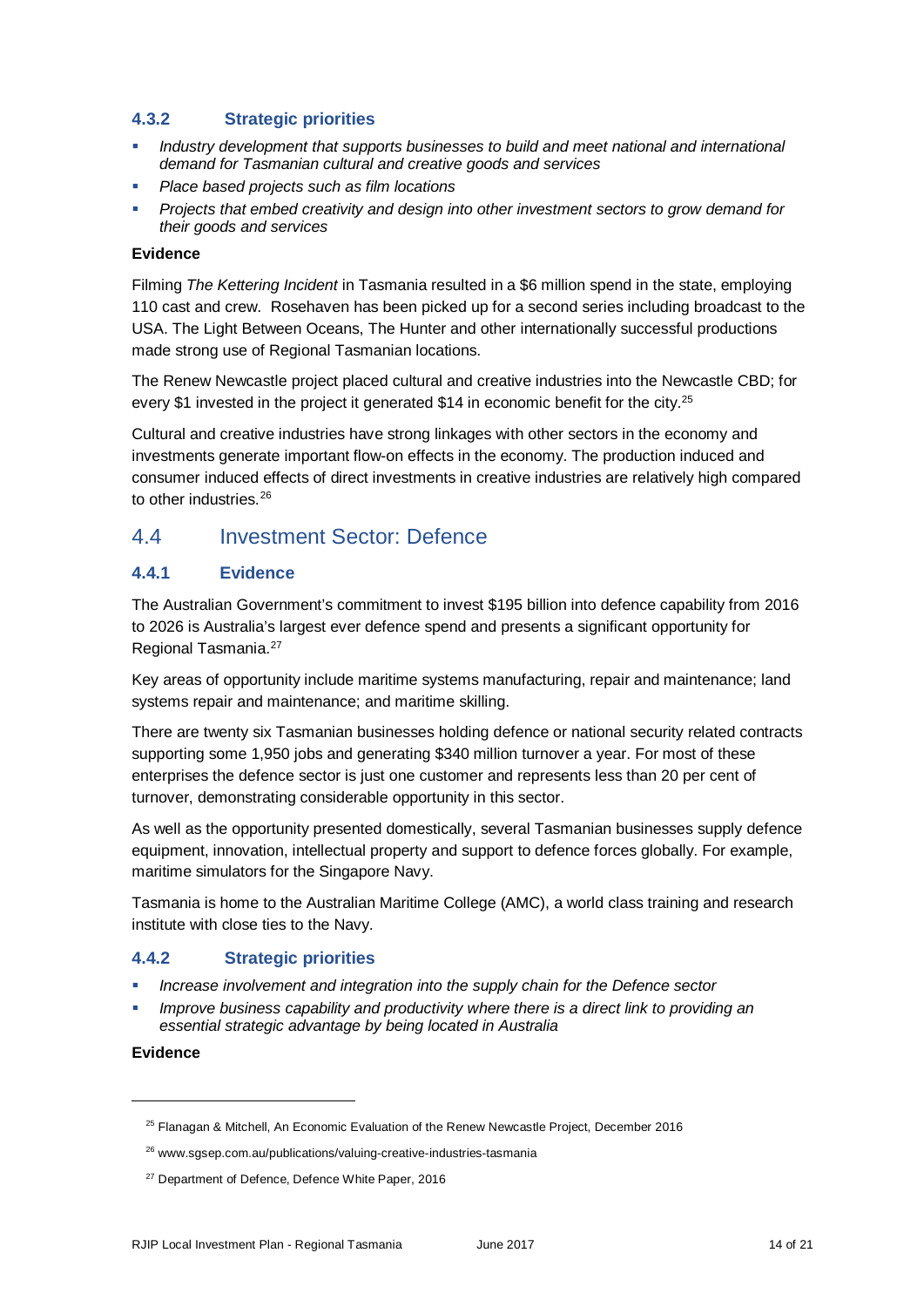#### **4.3.2 Strategic priorities**

- *Industry development that supports businesses to build and meet national and international demand for Tasmanian cultural and creative goods and services*
- *Place based projects such as film locations*
- *Projects that embed creativity and design into other investment sectors to grow demand for their goods and services*

#### **Evidence**

Filming *The Kettering Incident* in Tasmania resulted in a \$6 million spend in the state, employing 110 cast and crew. Rosehaven has been picked up for a second series including broadcast to the USA. The Light Between Oceans, The Hunter and other internationally successful productions made strong use of Regional Tasmanian locations.

The Renew Newcastle project placed cultural and creative industries into the Newcastle CBD; for every \$1 invested in the project it generated \$14 in economic benefit for the city.<sup>25</sup>

Cultural and creative industries have strong linkages with other sectors in the economy and investments generate important flow-on effects in the economy. The production induced and consumer induced effects of direct investments in creative industries are relatively high compared to other industries.<sup>[26](#page-13-1)</sup>

## 4.4 Investment Sector: Defence

#### **4.4.1 Evidence**

The Australian Government's commitment to invest \$195 billion into defence capability from 2016 to 2026 is Australia's largest ever defence spend and presents a significant opportunity for Regional Tasmania[.27](#page-13-2)

Key areas of opportunity include maritime systems manufacturing, repair and maintenance; land systems repair and maintenance; and maritime skilling.

There are twenty six Tasmanian businesses holding defence or national security related contracts supporting some 1,950 jobs and generating \$340 million turnover a year. For most of these enterprises the defence sector is just one customer and represents less than 20 per cent of turnover, demonstrating considerable opportunity in this sector.

As well as the opportunity presented domestically, several Tasmanian businesses supply defence equipment, innovation, intellectual property and support to defence forces globally. For example, maritime simulators for the Singapore Navy.

Tasmania is home to the Australian Maritime College (AMC), a world class training and research institute with close ties to the Navy.

#### **4.4.2 Strategic priorities**

- *Increase involvement and integration into the supply chain for the Defence sector*
- *Improve business capability and productivity where there is a direct link to providing an essential strategic advantage by being located in Australia*

#### **Evidence**

<span id="page-13-1"></span><span id="page-13-0"></span>j

<sup>&</sup>lt;sup>25</sup> Flanagan & Mitchell, An Economic Evaluation of the Renew Newcastle Project, December 2016

<sup>26</sup> www.sgsep.com.au/publications/valuing-creative-industries-tasmania

<span id="page-13-2"></span><sup>&</sup>lt;sup>27</sup> Department of Defence, Defence White Paper, 2016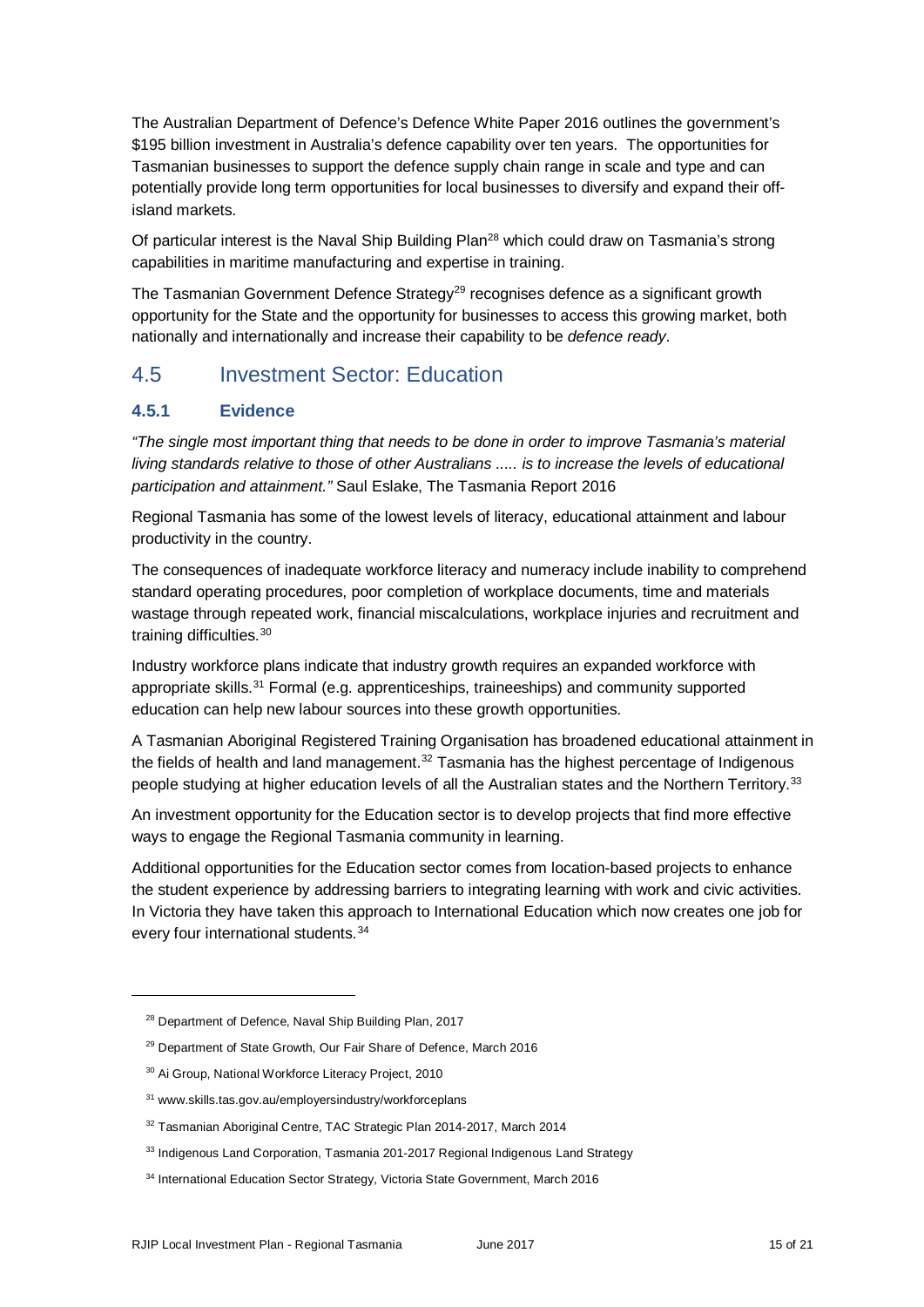The Australian Department of Defence's Defence White Paper 2016 outlines the government's \$195 billion investment in Australia's defence capability over ten years. The opportunities for Tasmanian businesses to support the defence supply chain range in scale and type and can potentially provide long term opportunities for local businesses to diversify and expand their offisland markets.

Of particular interest is the Naval Ship Building Plan<sup>28</sup> which could draw on Tasmania's strong capabilities in maritime manufacturing and expertise in training.

The Tasmanian Government Defence Strategy<sup>[29](#page-14-1)</sup> recognises defence as a significant growth opportunity for the State and the opportunity for businesses to access this growing market, both nationally and internationally and increase their capability to be *defence ready*.

## 4.5 Investment Sector: Education

#### **4.5.1 Evidence**

*"The single most important thing that needs to be done in order to improve Tasmania's material living standards relative to those of other Australians ..... is to increase the levels of educational participation and attainment."* Saul Eslake, The Tasmania Report 2016

Regional Tasmania has some of the lowest levels of literacy, educational attainment and labour productivity in the country.

The consequences of inadequate workforce literacy and numeracy include inability to comprehend standard operating procedures, poor completion of workplace documents, time and materials wastage through repeated work, financial miscalculations, workplace injuries and recruitment and training difficulties.<sup>[30](#page-14-2)</sup>

Industry workforce plans indicate that industry growth requires an expanded workforce with appropriate skills.[31](#page-14-3) Formal (e.g. apprenticeships, traineeships) and community supported education can help new labour sources into these growth opportunities.

A Tasmanian Aboriginal Registered Training Organisation has broadened educational attainment in the fields of health and land management. $32$  Tasmania has the highest percentage of Indigenous people studying at higher education levels of all the Australian states and the Northern Territory.[33](#page-14-5)

An investment opportunity for the Education sector is to develop projects that find more effective ways to engage the Regional Tasmania community in learning.

Additional opportunities for the Education sector comes from location-based projects to enhance the student experience by addressing barriers to integrating learning with work and civic activities. In Victoria they have taken this approach to International Education which now creates one job for every four international students.<sup>[34](#page-14-6)</sup>

<span id="page-14-0"></span><sup>&</sup>lt;sup>28</sup> Department of Defence, Naval Ship Building Plan, 2017

<span id="page-14-1"></span><sup>&</sup>lt;sup>29</sup> Department of State Growth, Our Fair Share of Defence, March 2016

<span id="page-14-2"></span><sup>30</sup> Ai Group, National Workforce Literacy Project, 2010

<span id="page-14-3"></span><sup>31</sup> www.skills.tas.gov.au/employersindustry/workforceplans

<span id="page-14-4"></span><sup>&</sup>lt;sup>32</sup> Tasmanian Aboriginal Centre, TAC Strategic Plan 2014-2017, March 2014

<span id="page-14-5"></span><sup>33</sup> Indigenous Land Corporation, Tasmania 201-2017 Regional Indigenous Land Strategy

<span id="page-14-6"></span><sup>&</sup>lt;sup>34</sup> International Education Sector Strategy, Victoria State Government, March 2016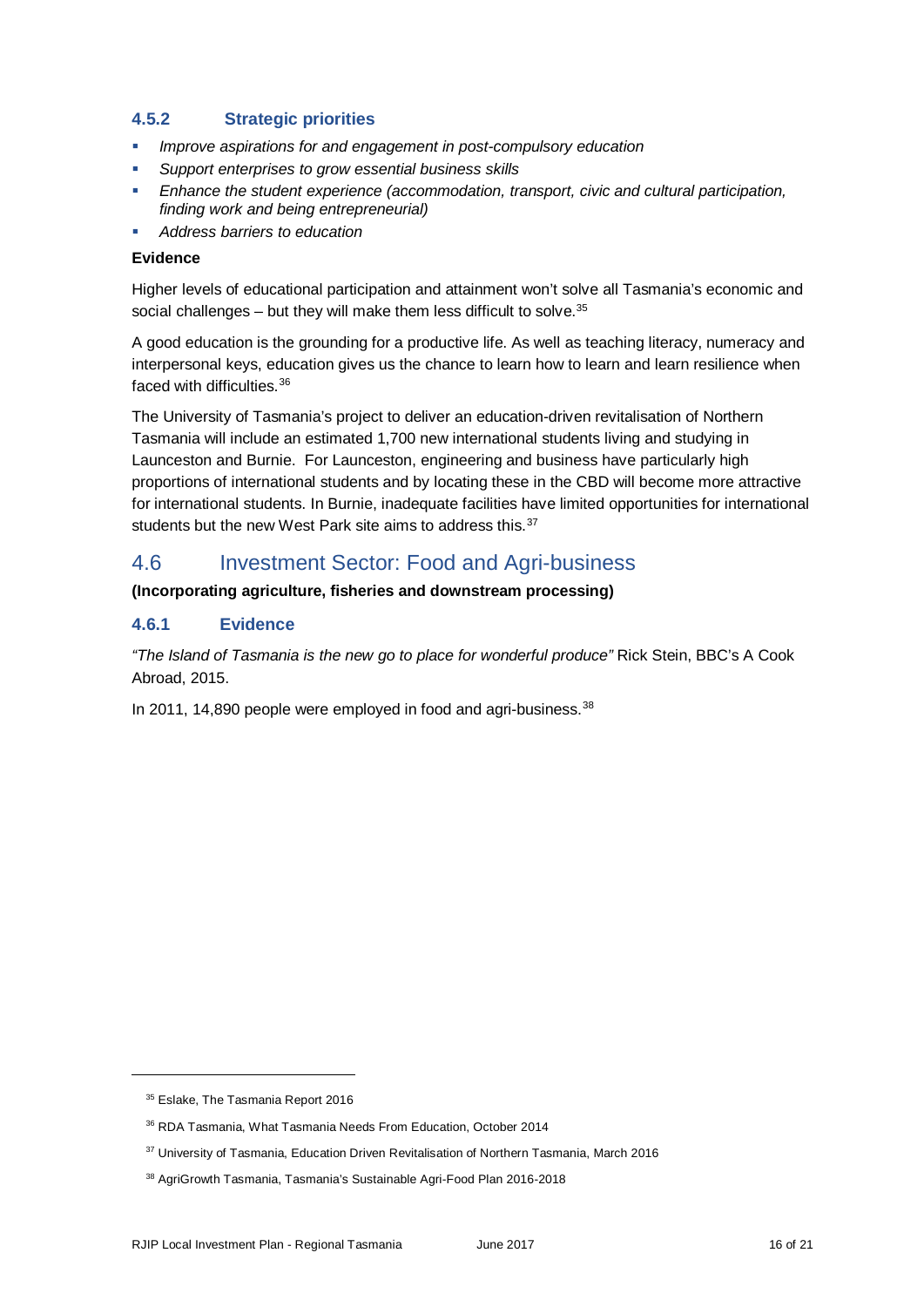#### **4.5.2 Strategic priorities**

- *Improve aspirations for and engagement in post-compulsory education*
- *Support enterprises to grow essential business skills*
- *Enhance the student experience (accommodation, transport, civic and cultural participation, finding work and being entrepreneurial)*
- *Address barriers to education*

#### **Evidence**

Higher levels of educational participation and attainment won't solve all Tasmania's economic and social challenges – but they will make them less difficult to solve. $35$ 

A good education is the grounding for a productive life. As well as teaching literacy, numeracy and interpersonal keys, education gives us the chance to learn how to learn and learn resilience when faced with difficulties [36](#page-15-1)

The University of Tasmania's project to deliver an education-driven revitalisation of Northern Tasmania will include an estimated 1,700 new international students living and studying in Launceston and Burnie. For Launceston, engineering and business have particularly high proportions of international students and by locating these in the CBD will become more attractive for international students. In Burnie, inadequate facilities have limited opportunities for international students but the new West Park site aims to address this.<sup>[37](#page-15-2)</sup>

### 4.6 Investment Sector: Food and Agri-business

#### **(Incorporating agriculture, fisheries and downstream processing)**

#### **4.6.1 Evidence**

*"The Island of Tasmania is the new go to place for wonderful produce"* Rick Stein, BBC's A Cook Abroad, 2015.

In 2011, 14,890 people were employed in food and agri-business.<sup>[38](#page-15-3)</sup>

<span id="page-15-0"></span><sup>&</sup>lt;sup>35</sup> Eslake, The Tasmania Report 2016

<span id="page-15-1"></span><sup>36</sup> RDA Tasmania, What Tasmania Needs From Education, October 2014

<span id="page-15-2"></span><sup>&</sup>lt;sup>37</sup> University of Tasmania, Education Driven Revitalisation of Northern Tasmania, March 2016

<span id="page-15-3"></span><sup>38</sup> AgriGrowth Tasmania, Tasmania's Sustainable Agri-Food Plan 2016-2018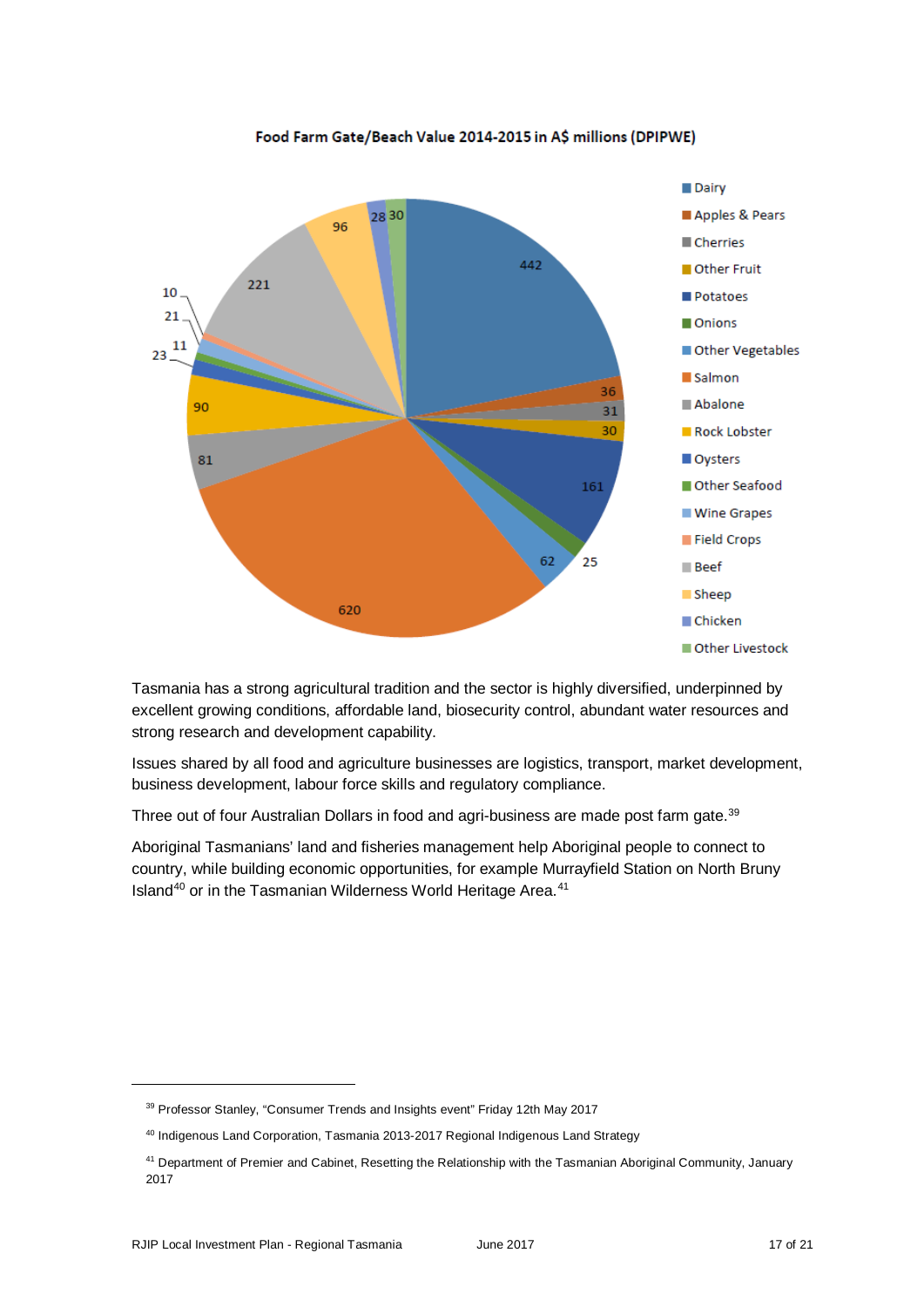![](_page_16_Figure_0.jpeg)

Food Farm Gate/Beach Value 2014-2015 in A\$ millions (DPIPWE)

Tasmania has a strong agricultural tradition and the sector is highly diversified, underpinned by excellent growing conditions, affordable land, biosecurity control, abundant water resources and strong research and development capability.

Issues shared by all food and agriculture businesses are logistics, transport, market development, business development, labour force skills and regulatory compliance.

Three out of four Australian Dollars in food and agri-business are made post farm gate.<sup>39</sup>

Aboriginal Tasmanians' land and fisheries management help Aboriginal people to connect to country, while building economic opportunities, for example Murrayfield Station on North Bruny Island<sup>[40](#page-16-1)</sup> or in the Tasmanian Wilderness World Heritage Area.<sup>[41](#page-16-2)</sup>

<span id="page-16-0"></span><sup>&</sup>lt;sup>39</sup> Professor Stanley, "Consumer Trends and Insights event" Friday 12th May 2017

<span id="page-16-1"></span><sup>40</sup> Indigenous Land Corporation, Tasmania 2013-2017 Regional Indigenous Land Strategy

<span id="page-16-2"></span><sup>41</sup> Department of Premier and Cabinet, Resetting the Relationship with the Tasmanian Aboriginal Community, January 2017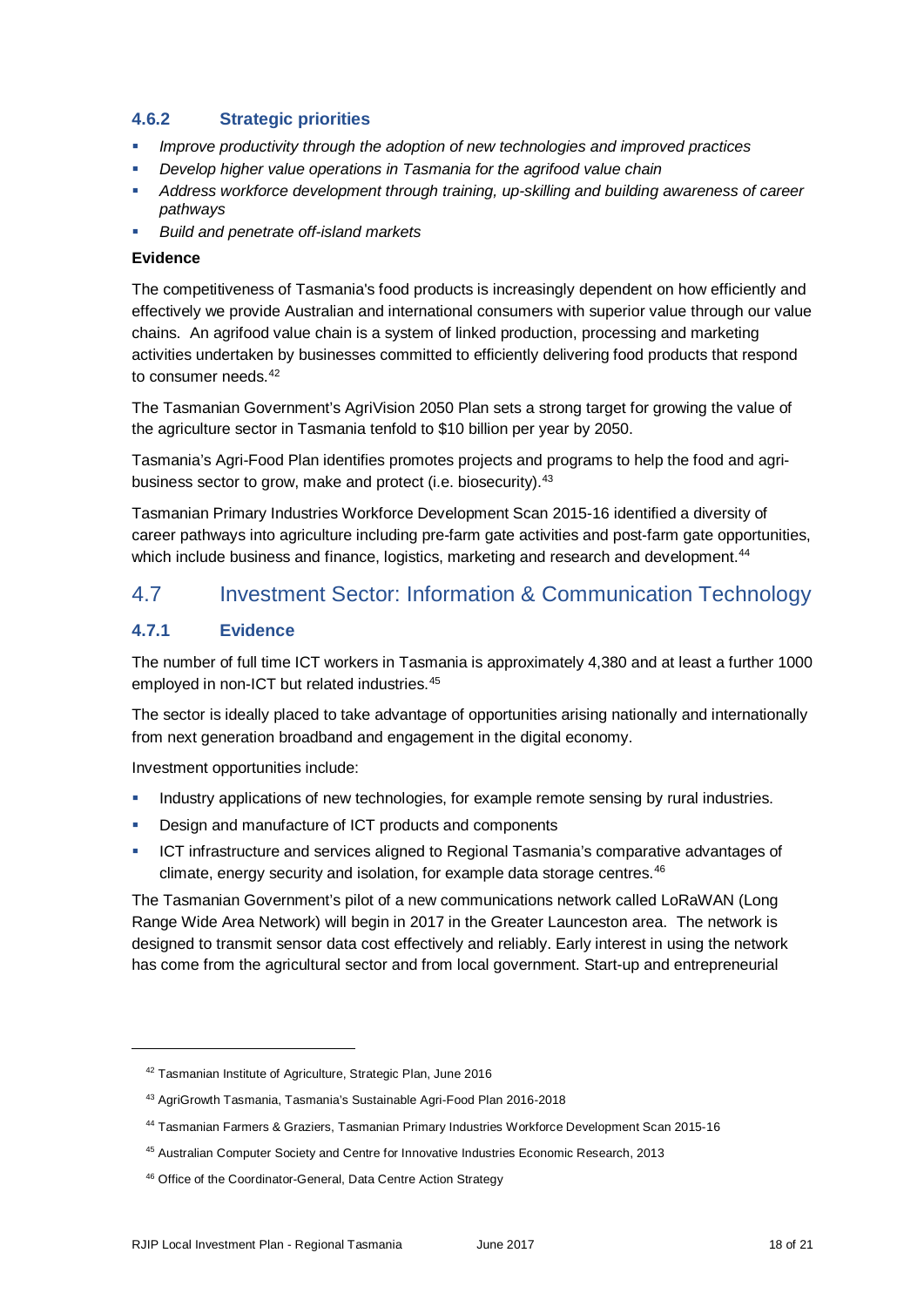#### **4.6.2 Strategic priorities**

- *Improve productivity through the adoption of new technologies and improved practices*
- *Develop higher value operations in Tasmania for the agrifood value chain*
- *Address workforce development through training, up-skilling and building awareness of career pathways*
- *Build and penetrate off-island markets*

#### **Evidence**

The competitiveness of Tasmania's food products is increasingly dependent on how efficiently and effectively we provide Australian and international consumers with superior value through our value chains. An agrifood value chain is a system of linked production, processing and marketing activities undertaken by businesses committed to efficiently delivering food products that respond to consumer needs.[42](#page-17-0)

The Tasmanian Government's AgriVision 2050 Plan sets a strong target for growing the value of the agriculture sector in Tasmania tenfold to \$10 billion per year by 2050.

Tasmania's Agri-Food Plan identifies promotes projects and programs to help the food and agribusiness sector to grow, make and protect (i.e. biosecurity).<sup>43</sup>

Tasmanian Primary Industries Workforce Development Scan 2015-16 identified a diversity of career pathways into agriculture including pre-farm gate activities and post-farm gate opportunities, which include business and finance, logistics, marketing and research and development.<sup>[44](#page-17-2)</sup>

## 4.7 Investment Sector: Information & Communication Technology

#### **4.7.1 Evidence**

<span id="page-17-1"></span><span id="page-17-0"></span>-

The number of full time ICT workers in Tasmania is approximately 4,380 and at least a further 1000 employed in non-ICT but related industries.[45](#page-17-3)

The sector is ideally placed to take advantage of opportunities arising nationally and internationally from next generation broadband and engagement in the digital economy.

Investment opportunities include:

- Industry applications of new technologies, for example remote sensing by rural industries.
- **Design and manufacture of ICT products and components**
- ICT infrastructure and services aligned to Regional Tasmania's comparative advantages of climate, energy security and isolation, for example data storage centres.<sup>[46](#page-17-4)</sup>

The Tasmanian Government's pilot of a new communications network called LoRaWAN (Long Range Wide Area Network) will begin in 2017 in the Greater Launceston area. The network is designed to transmit sensor data cost effectively and reliably. Early interest in using the network has come from the agricultural sector and from local government. Start-up and entrepreneurial

<sup>42</sup> Tasmanian Institute of Agriculture, Strategic Plan, June 2016

<sup>43</sup> AgriGrowth Tasmania, Tasmania's Sustainable Agri-Food Plan 2016-2018

<span id="page-17-2"></span><sup>44</sup> Tasmanian Farmers & Graziers, Tasmanian Primary Industries Workforce Development Scan 2015-16

<span id="page-17-3"></span><sup>45</sup> Australian Computer Society and Centre for Innovative Industries Economic Research, 2013

<span id="page-17-4"></span><sup>46</sup> Office of the Coordinator-General, Data Centre Action Strategy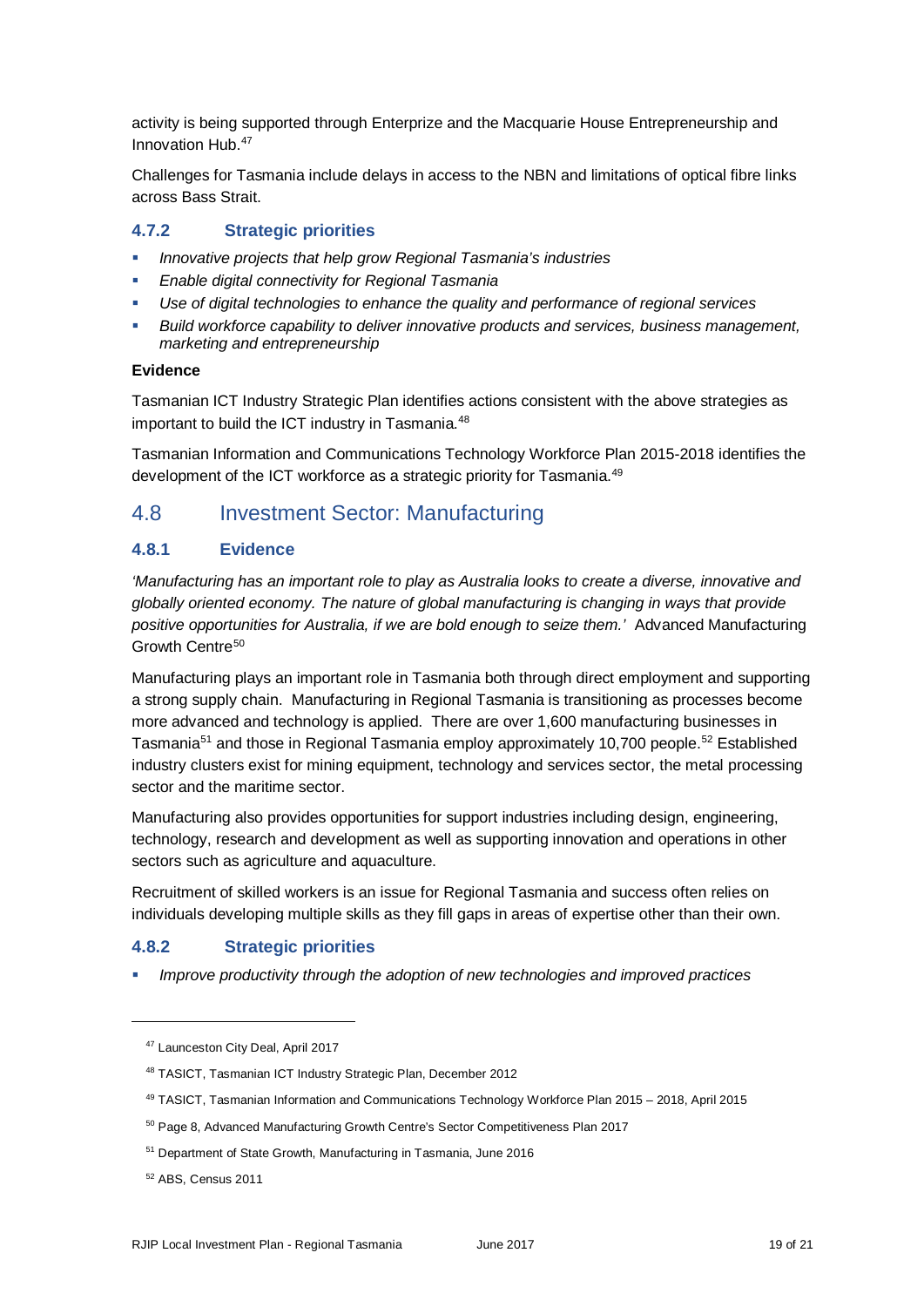activity is being supported through Enterprize and the Macquarie House Entrepreneurship and Innovation Hub.[47](#page-18-0) 

Challenges for Tasmania include delays in access to the NBN and limitations of optical fibre links across Bass Strait.

#### **4.7.2 Strategic priorities**

- *Innovative projects that help grow Regional Tasmania's industries*
- *Enable digital connectivity for Regional Tasmania*
- *Use of digital technologies to enhance the quality and performance of regional services*
- *Build workforce capability to deliver innovative products and services, business management, marketing and entrepreneurship*

#### **Evidence**

Tasmanian ICT Industry Strategic Plan identifies actions consistent with the above strategies as important to build the ICT industry in Tasmania.<sup>48</sup>

Tasmanian Information and Communications Technology Workforce Plan 2015-2018 identifies the development of the ICT workforce as a strategic priority for Tasmania.<sup>49</sup>

### 4.8 Investment Sector: Manufacturing

#### **4.8.1 Evidence**

*'Manufacturing has an important role to play as Australia looks to create a diverse, innovative and globally oriented economy. The nature of global manufacturing is changing in ways that provide positive opportunities for Australia, if we are bold enough to seize them.'* Advanced Manufacturing Growth Centre<sup>50</sup>

Manufacturing plays an important role in Tasmania both through direct employment and supporting a strong supply chain. Manufacturing in Regional Tasmania is transitioning as processes become more advanced and technology is applied. There are over 1,600 manufacturing businesses in Tasmania<sup>51</sup> and those in Regional Tasmania employ approximately 10,700 people.<sup>[52](#page-18-5)</sup> Established industry clusters exist for mining equipment, technology and services sector, the metal processing sector and the maritime sector.

Manufacturing also provides opportunities for support industries including design, engineering, technology, research and development as well as supporting innovation and operations in other sectors such as agriculture and aquaculture.

Recruitment of skilled workers is an issue for Regional Tasmania and success often relies on individuals developing multiple skills as they fill gaps in areas of expertise other than their own.

#### **4.8.2 Strategic priorities**

*Improve productivity through the adoption of new technologies and improved practices*

<span id="page-18-0"></span><sup>47</sup> Launceston City Deal, April 2017

<span id="page-18-1"></span><sup>48</sup> TASICT, Tasmanian ICT Industry Strategic Plan, December 2012

<span id="page-18-2"></span><sup>49</sup> TASICT, Tasmanian Information and Communications Technology Workforce Plan 2015 – 2018, April 2015

<span id="page-18-3"></span><sup>50</sup> Page 8, Advanced Manufacturing Growth Centre's Sector Competitiveness Plan 2017

<span id="page-18-4"></span><sup>51</sup> Department of State Growth, Manufacturing in Tasmania, June 2016

<span id="page-18-5"></span><sup>52</sup> ABS, Census 2011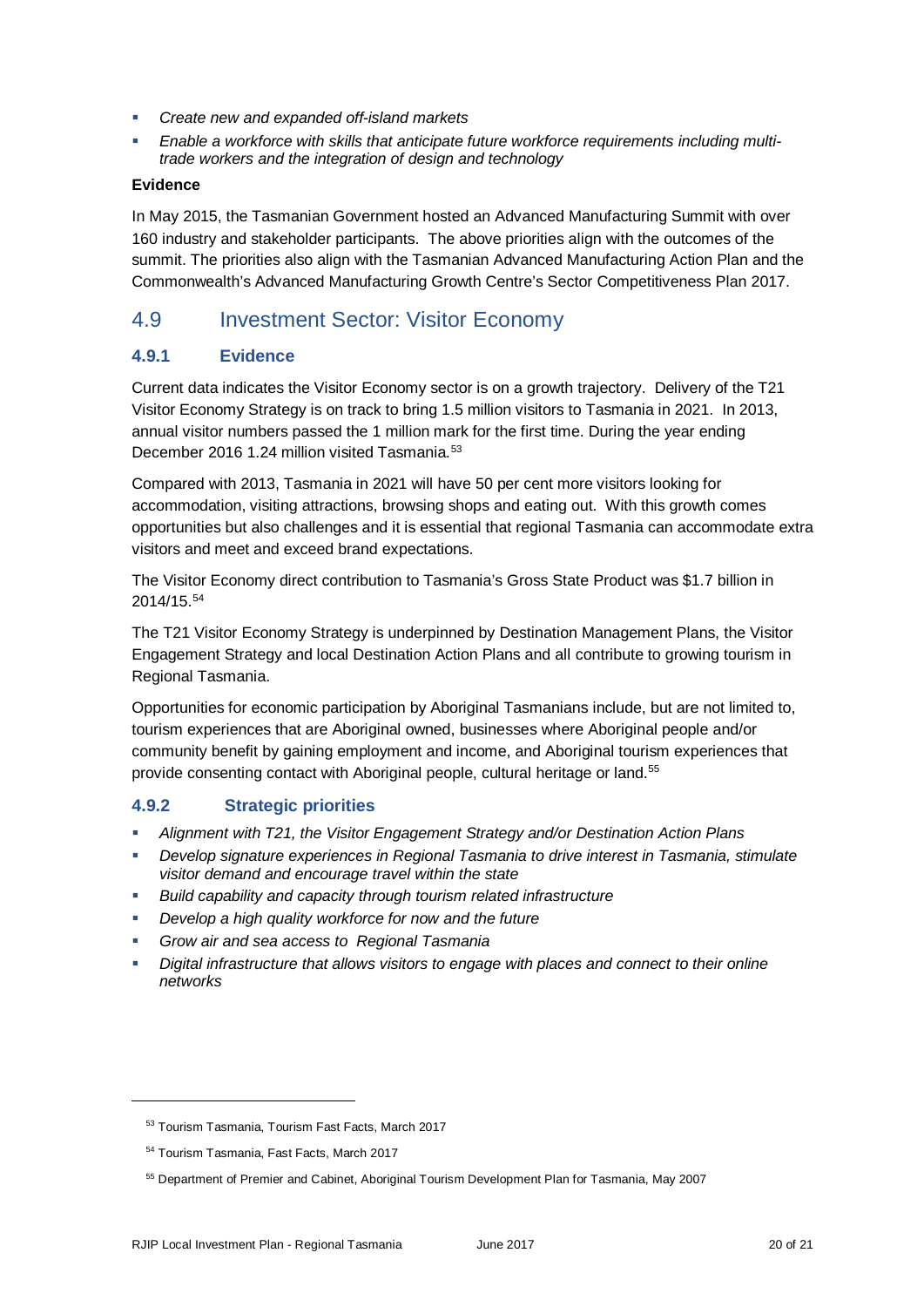- *Create new and expanded off-island markets*
- *Enable a workforce with skills that anticipate future workforce requirements including multitrade workers and the integration of design and technology*

#### **Evidence**

In May 2015, the Tasmanian Government hosted an Advanced Manufacturing Summit with over 160 industry and stakeholder participants. The above priorities align with the outcomes of the summit. The priorities also align with the Tasmanian Advanced Manufacturing Action Plan and the Commonwealth's Advanced Manufacturing Growth Centre's Sector Competitiveness Plan 2017.

## 4.9 Investment Sector: Visitor Economy

#### **4.9.1 Evidence**

Current data indicates the Visitor Economy sector is on a growth trajectory. Delivery of the T21 Visitor Economy Strategy is on track to bring 1.5 million visitors to Tasmania in 2021. In 2013, annual visitor numbers passed the 1 million mark for the first time. During the year ending December 2016 1.24 million visited Tasmania.<sup>[53](#page-19-0)</sup>

Compared with 2013, Tasmania in 2021 will have 50 per cent more visitors looking for accommodation, visiting attractions, browsing shops and eating out. With this growth comes opportunities but also challenges and it is essential that regional Tasmania can accommodate extra visitors and meet and exceed brand expectations.

The Visitor Economy direct contribution to Tasmania's Gross State Product was \$1.7 billion in 2014/15.[54](#page-19-1)

The T21 Visitor Economy Strategy is underpinned by Destination Management Plans, the Visitor Engagement Strategy and local Destination Action Plans and all contribute to growing tourism in Regional Tasmania.

Opportunities for economic participation by Aboriginal Tasmanians include, but are not limited to, tourism experiences that are Aboriginal owned, businesses where Aboriginal people and/or community benefit by gaining employment and income, and Aboriginal tourism experiences that provide consenting contact with Aboriginal people, cultural heritage or land.<sup>[55](#page-19-2)</sup>

#### **4.9.2 Strategic priorities**

- *Alignment with T21, the Visitor Engagement Strategy and/or Destination Action Plans*
- *Develop signature experiences in Regional Tasmania to drive interest in Tasmania, stimulate visitor demand and encourage travel within the state*
- *Build capability and capacity through tourism related infrastructure*
- *Develop a high quality workforce for now and the future*
- *Grow air and sea access to Regional Tasmania*
- *Digital infrastructure that allows visitors to engage with places and connect to their online networks*

<span id="page-19-1"></span><span id="page-19-0"></span>j

<sup>53</sup> Tourism Tasmania, Tourism Fast Facts, March 2017

<sup>54</sup> Tourism Tasmania, Fast Facts, March 2017

<span id="page-19-2"></span><sup>55</sup> Department of Premier and Cabinet, Aboriginal Tourism Development Plan for Tasmania, May 2007